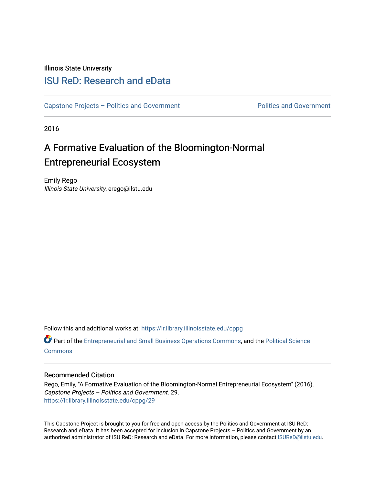Illinois State University

## [ISU ReD: Research and eData](https://ir.library.illinoisstate.edu/)

[Capstone Projects – Politics and Government](https://ir.library.illinoisstate.edu/cppg) Politics and Government

2016

# A Formative Evaluation of the Bloomington-Normal Entrepreneurial Ecosystem

Emily Rego Illinois State University, erego@ilstu.edu

Follow this and additional works at: [https://ir.library.illinoisstate.edu/cppg](https://ir.library.illinoisstate.edu/cppg?utm_source=ir.library.illinoisstate.edu%2Fcppg%2F29&utm_medium=PDF&utm_campaign=PDFCoverPages) 

Part of the [Entrepreneurial and Small Business Operations Commons,](http://network.bepress.com/hgg/discipline/630?utm_source=ir.library.illinoisstate.edu%2Fcppg%2F29&utm_medium=PDF&utm_campaign=PDFCoverPages) and the [Political Science](http://network.bepress.com/hgg/discipline/386?utm_source=ir.library.illinoisstate.edu%2Fcppg%2F29&utm_medium=PDF&utm_campaign=PDFCoverPages)  **[Commons](http://network.bepress.com/hgg/discipline/386?utm_source=ir.library.illinoisstate.edu%2Fcppg%2F29&utm_medium=PDF&utm_campaign=PDFCoverPages)** 

#### Recommended Citation

Rego, Emily, "A Formative Evaluation of the Bloomington-Normal Entrepreneurial Ecosystem" (2016). Capstone Projects – Politics and Government. 29. [https://ir.library.illinoisstate.edu/cppg/29](https://ir.library.illinoisstate.edu/cppg/29?utm_source=ir.library.illinoisstate.edu%2Fcppg%2F29&utm_medium=PDF&utm_campaign=PDFCoverPages)

This Capstone Project is brought to you for free and open access by the Politics and Government at ISU ReD: Research and eData. It has been accepted for inclusion in Capstone Projects – Politics and Government by an authorized administrator of ISU ReD: Research and eData. For more information, please contact [ISUReD@ilstu.edu.](mailto:ISUReD@ilstu.edu)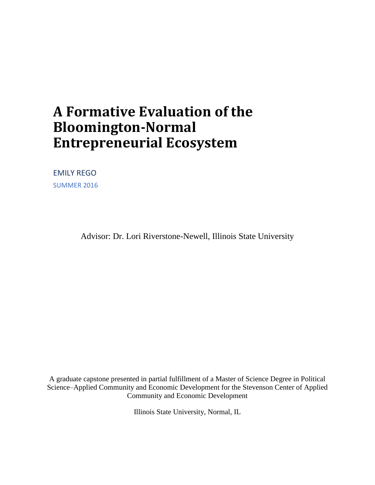# **A Formative Evaluation of the Bloomington-Normal Entrepreneurial Ecosystem**

EMILY REGO SUMMER 2016

Advisor: Dr. Lori Riverstone-Newell, Illinois State University

A graduate capstone presented in partial fulfillment of a Master of Science Degree in Political Science–Applied Community and Economic Development for the Stevenson Center of Applied Community and Economic Development

Illinois State University, Normal, IL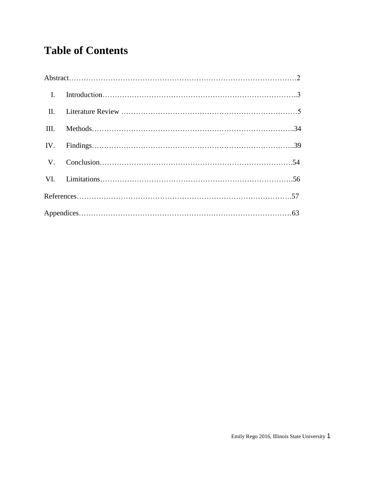# **Table of Contents**

| $\mathbf{I}$ . |  |
|----------------|--|
| $\prod$ .      |  |
| III.           |  |
|                |  |
|                |  |
|                |  |
|                |  |
|                |  |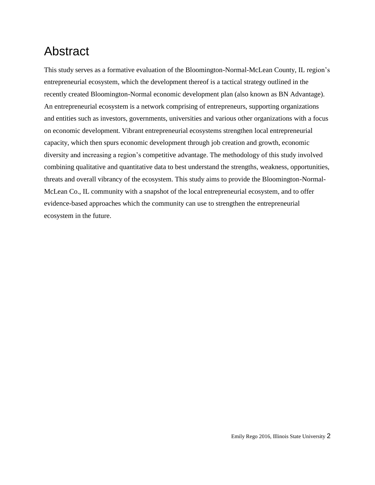# Abstract

This study serves as a formative evaluation of the Bloomington-Normal-McLean County, IL region's entrepreneurial ecosystem, which the development thereof is a tactical strategy outlined in the recently created Bloomington-Normal economic development plan (also known as BN Advantage). An entrepreneurial ecosystem is a network comprising of entrepreneurs, supporting organizations and entities such as investors, governments, universities and various other organizations with a focus on economic development. Vibrant entrepreneurial ecosystems strengthen local entrepreneurial capacity, which then spurs economic development through job creation and growth, economic diversity and increasing a region's competitive advantage. The methodology of this study involved combining qualitative and quantitative data to best understand the strengths, weakness, opportunities, threats and overall vibrancy of the ecosystem. This study aims to provide the Bloomington-Normal-McLean Co., IL community with a snapshot of the local entrepreneurial ecosystem, and to offer evidence-based approaches which the community can use to strengthen the entrepreneurial ecosystem in the future.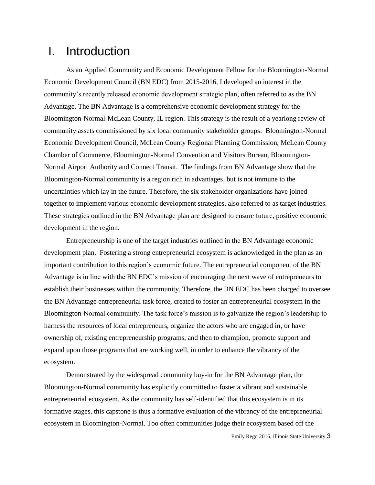## I. Introduction

As an Applied Community and Economic Development Fellow for the Bloomington-Normal Economic Development Council (BN EDC) from 2015-2016, I developed an interest in the community's recently released economic development strategic plan, often referred to as the BN Advantage. The BN Advantage is a comprehensive economic development strategy for the Bloomington-Normal-McLean County, IL region. This strategy is the result of a yearlong review of community assets commissioned by six local community stakeholder groups: Bloomington-Normal Economic Development Council, McLean County Regional Planning Commission, McLean County Chamber of Commerce, Bloomington-Normal Convention and Visitors Bureau, Bloomington-Normal Airport Authority and Connect Transit. The findings from BN Advantage show that the Bloomington-Normal community is a region rich in advantages, but is not immune to the uncertainties which lay in the future. Therefore, the six stakeholder organizations have joined together to implement various economic development strategies, also referred to as target industries. These strategies outlined in the BN Advantage plan are designed to ensure future, positive economic development in the region.

 Entrepreneurship is one of the target industries outlined in the BN Advantage economic development plan. Fostering a strong entrepreneurial ecosystem is acknowledged in the plan as an important contribution to this region's economic future. The entrepreneurial component of the BN Advantage is in line with the BN EDC's mission of encouraging the next wave of entrepreneurs to establish their businesses within the community. Therefore, the BN EDC has been charged to oversee the BN Advantage entrepreneurial task force, created to foster an entrepreneurial ecosystem in the Bloomington-Normal community. The task force's mission is to galvanize the region's leadership to harness the resources of local entrepreneurs, organize the actors who are engaged in, or have ownership of, existing entrepreneurship programs, and then to champion, promote support and expand upon those programs that are working well, in order to enhance the vibrancy of the ecosystem.

Demonstrated by the widespread community buy-in for the BN Advantage plan, the Bloomington-Normal community has explicitly committed to foster a vibrant and sustainable entrepreneurial ecosystem. As the community has self-identified that this ecosystem is in its formative stages, this capstone is thus a formative evaluation of the vibrancy of the entrepreneurial ecosystem in Bloomington-Normal. Too often communities judge their ecosystem based off the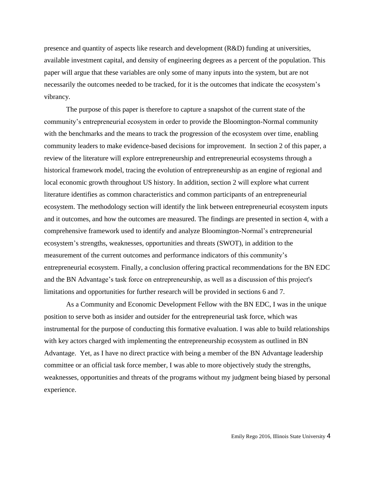presence and quantity of aspects like research and development (R&D) funding at universities, available investment capital, and density of engineering degrees as a percent of the population. This paper will argue that these variables are only some of many inputs into the system, but are not necessarily the outcomes needed to be tracked, for it is the outcomes that indicate the ecosystem's vibrancy.

The purpose of this paper is therefore to capture a snapshot of the current state of the community's entrepreneurial ecosystem in order to provide the Bloomington-Normal community with the benchmarks and the means to track the progression of the ecosystem over time, enabling community leaders to make evidence-based decisions for improvement. In section 2 of this paper, a review of the literature will explore entrepreneurship and entrepreneurial ecosystems through a historical framework model, tracing the evolution of entrepreneurship as an engine of regional and local economic growth throughout US history. In addition, section 2 will explore what current literature identifies as common characteristics and common participants of an entrepreneurial ecosystem. The methodology section will identify the link between entrepreneurial ecosystem inputs and it outcomes, and how the outcomes are measured. The findings are presented in section 4, with a comprehensive framework used to identify and analyze Bloomington-Normal's entrepreneurial ecosystem's strengths, weaknesses, opportunities and threats (SWOT), in addition to the measurement of the current outcomes and performance indicators of this community's entrepreneurial ecosystem. Finally, a conclusion offering practical recommendations for the BN EDC and the BN Advantage's task force on entrepreneurship, as well as a discussion of this project's limitations and opportunities for further research will be provided in sections 6 and 7.

As a Community and Economic Development Fellow with the BN EDC, I was in the unique position to serve both as insider and outsider for the entrepreneurial task force, which was instrumental for the purpose of conducting this formative evaluation. I was able to build relationships with key actors charged with implementing the entrepreneurship ecosystem as outlined in BN Advantage. Yet, as I have no direct practice with being a member of the BN Advantage leadership committee or an official task force member, I was able to more objectively study the strengths, weaknesses, opportunities and threats of the programs without my judgment being biased by personal experience.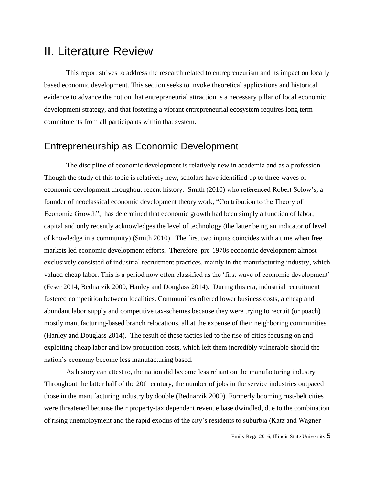## II. Literature Review

This report strives to address the research related to entrepreneurism and its impact on locally based economic development. This section seeks to invoke theoretical applications and historical evidence to advance the notion that entrepreneurial attraction is a necessary pillar of local economic development strategy, and that fostering a vibrant entrepreneurial ecosystem requires long term commitments from all participants within that system.

## Entrepreneurship as Economic Development

The discipline of economic development is relatively new in academia and as a profession. Though the study of this topic is relatively new, scholars have identified up to three waves of economic development throughout recent history. Smith (2010) who referenced Robert Solow's, a founder of neoclassical economic development theory work, "Contribution to the Theory of Economic Growth", has determined that economic growth had been simply a function of labor, capital and only recently acknowledges the level of technology (the latter being an indicator of level of knowledge in a community) (Smith 2010). The first two inputs coincides with a time when free markets led economic development efforts. Therefore, pre-1970s economic development almost exclusively consisted of industrial recruitment practices, mainly in the manufacturing industry, which valued cheap labor. This is a period now often classified as the 'first wave of economic development' (Feser 2014, Bednarzik 2000, Hanley and Douglass 2014). During this era, industrial recruitment fostered competition between localities. Communities offered lower business costs, a cheap and abundant labor supply and competitive tax-schemes because they were trying to recruit (or poach) mostly manufacturing-based branch relocations, all at the expense of their neighboring communities (Hanley and Douglass 2014). The result of these tactics led to the rise of cities focusing on and exploiting cheap labor and low production costs, which left them incredibly vulnerable should the nation's economy become less manufacturing based.

As history can attest to, the nation did become less reliant on the manufacturing industry. Throughout the latter half of the 20th century, the number of jobs in the service industries outpaced those in the manufacturing industry by double (Bednarzik 2000). Formerly booming rust-belt cities were threatened because their property-tax dependent revenue base dwindled, due to the combination of rising unemployment and the rapid exodus of the city's residents to suburbia (Katz and Wagner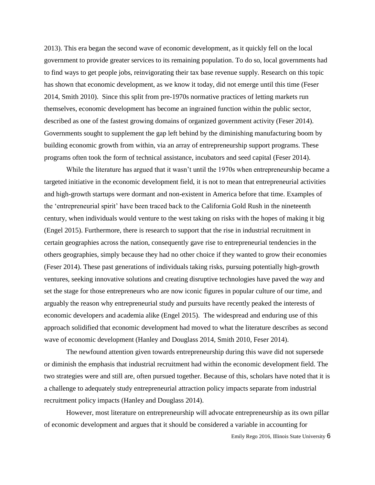2013). This era began the second wave of economic development, as it quickly fell on the local government to provide greater services to its remaining population. To do so, local governments had to find ways to get people jobs, reinvigorating their tax base revenue supply. Research on this topic has shown that economic development, as we know it today, did not emerge until this time (Feser 2014, Smith 2010). Since this split from pre-1970s normative practices of letting markets run themselves, economic development has become an ingrained function within the public sector, described as one of the fastest growing domains of organized government activity (Feser 2014). Governments sought to supplement the gap left behind by the diminishing manufacturing boom by building economic growth from within, via an array of entrepreneurship support programs. These programs often took the form of technical assistance, incubators and seed capital (Feser 2014).

While the literature has argued that it wasn't until the 1970s when entrepreneurship became a targeted initiative in the economic development field, it is not to mean that entrepreneurial activities and high-growth startups were dormant and non-existent in America before that time. Examples of the 'entrepreneurial spirit' have been traced back to the California Gold Rush in the nineteenth century, when individuals would venture to the west taking on risks with the hopes of making it big (Engel 2015). Furthermore, there is research to support that the rise in industrial recruitment in certain geographies across the nation, consequently gave rise to entrepreneurial tendencies in the others geographies, simply because they had no other choice if they wanted to grow their economies (Feser 2014). These past generations of individuals taking risks, pursuing potentially high-growth ventures, seeking innovative solutions and creating disruptive technologies have paved the way and set the stage for those entrepreneurs who are now iconic figures in popular culture of our time, and arguably the reason why entrepreneurial study and pursuits have recently peaked the interests of economic developers and academia alike (Engel 2015). The widespread and enduring use of this approach solidified that economic development had moved to what the literature describes as second wave of economic development (Hanley and Douglass 2014, Smith 2010, Feser 2014).

The newfound attention given towards entrepreneurship during this wave did not supersede or diminish the emphasis that industrial recruitment had within the economic development field. The two strategies were and still are, often pursued together. Because of this, scholars have noted that it is a challenge to adequately study entrepreneurial attraction policy impacts separate from industrial recruitment policy impacts (Hanley and Douglass 2014).

However, most literature on entrepreneurship will advocate entrepreneurship as its own pillar of economic development and argues that it should be considered a variable in accounting for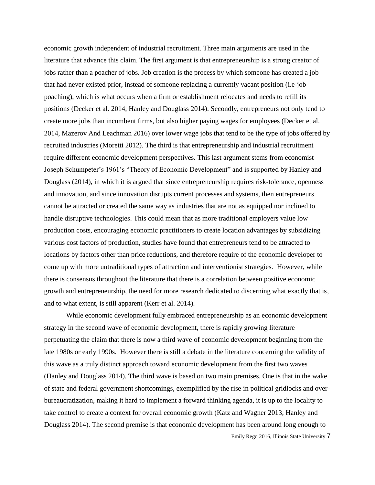economic growth independent of industrial recruitment. Three main arguments are used in the literature that advance this claim. The first argument is that entrepreneurship is a strong creator of jobs rather than a poacher of jobs. Job creation is the process by which someone has created a job that had never existed prior, instead of someone replacing a currently vacant position (i.e-job poaching), which is what occurs when a firm or establishment relocates and needs to refill its positions (Decker et al. 2014, Hanley and Douglass 2014). Secondly, entrepreneurs not only tend to create more jobs than incumbent firms, but also higher paying wages for employees (Decker et al. 2014, Mazerov And Leachman 2016) over lower wage jobs that tend to be the type of jobs offered by recruited industries (Moretti 2012). The third is that entrepreneurship and industrial recruitment require different economic development perspectives. This last argument stems from economist Joseph Schumpeter's 1961's "Theory of Economic Development" and is supported by Hanley and Douglass (2014), in which it is argued that since entrepreneurship requires risk-tolerance, openness and innovation, and since innovation disrupts current processes and systems, then entrepreneurs cannot be attracted or created the same way as industries that are not as equipped nor inclined to handle disruptive technologies. This could mean that as more traditional employers value low production costs, encouraging economic practitioners to create location advantages by subsidizing various cost factors of production, studies have found that entrepreneurs tend to be attracted to locations by factors other than price reductions, and therefore require of the economic developer to come up with more untraditional types of attraction and interventionist strategies. However, while there is consensus throughout the literature that there is a correlation between positive economic growth and entrepreneurship, the need for more research dedicated to discerning what exactly that is, and to what extent, is still apparent (Kerr et al. 2014).

Emily Rego 2016, Illinois State University 7 While economic development fully embraced entrepreneurship as an economic development strategy in the second wave of economic development, there is rapidly growing literature perpetuating the claim that there is now a third wave of economic development beginning from the late 1980s or early 1990s. However there is still a debate in the literature concerning the validity of this wave as a truly distinct approach toward economic development from the first two waves (Hanley and Douglass 2014). The third wave is based on two main premises. One is that in the wake of state and federal government shortcomings, exemplified by the rise in political gridlocks and overbureaucratization, making it hard to implement a forward thinking agenda, it is up to the locality to take control to create a context for overall economic growth (Katz and Wagner 2013, Hanley and Douglass 2014). The second premise is that economic development has been around long enough to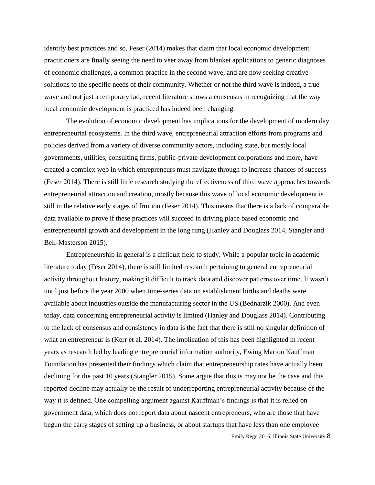identify best practices and so, Feser (2014) makes that claim that local economic development practitioners are finally seeing the need to veer away from blanket applications to generic diagnoses of economic challenges, a common practice in the second wave, and are now seeking creative solutions to the specific needs of their community. Whether or not the third wave is indeed, a true wave and not just a temporary fad, recent literature shows a consensus in recognizing that the way local economic development is practiced has indeed been changing.

The evolution of economic development has implications for the development of modern day entrepreneurial ecosystems. In the third wave, entrepreneurial attraction efforts from programs and policies derived from a variety of diverse community actors, including state, but mostly local governments, utilities, consulting firms, public-private development corporations and more, have created a complex web in which entrepreneurs must navigate through to increase chances of success (Feser 2014). There is still little research studying the effectiveness of third wave approaches towards entrepreneurial attraction and creation, mostly because this wave of local economic development is still in the relative early stages of fruition (Feser 2014). This means that there is a lack of comparable data available to prove if these practices will succeed in driving place based economic and entrepreneurial growth and development in the long rung (Hanley and Douglass 2014, Stangler and Bell-Masterson 2015).

Entrepreneurship in general is a difficult field to study. While a popular topic in academic literature today (Feser 2014), there is still limited research pertaining to general entrepreneurial activity throughout history, making it difficult to track data and discover patterns over time. It wasn't until just before the year 2000 when time-series data on establishment births and deaths were available about industries outside the manufacturing sector in the US (Bednarzik 2000). And even today, data concerning entrepreneurial activity is limited (Hanley and Douglass 2014). Contributing to the lack of consensus and consistency in data is the fact that there is still no singular definition of what an entrepreneur is (Kerr et al. 2014). The implication of this has been highlighted in recent years as research led by leading entrepreneurial information authority, Ewing Marion Kauffman Foundation has presented their findings which claim that entrepreneurship rates have actually been declining for the past 10 years (Stangler 2015). Some argue that this is may not be the case and this reported decline may actually be the result of underreporting entrepreneurial activity because of the way it is defined. One compelling argument against Kauffman's findings is that it is relied on government data, which does not report data about nascent entrepreneurs, who are those that have begun the early stages of setting up a business, or about startups that have less than one employee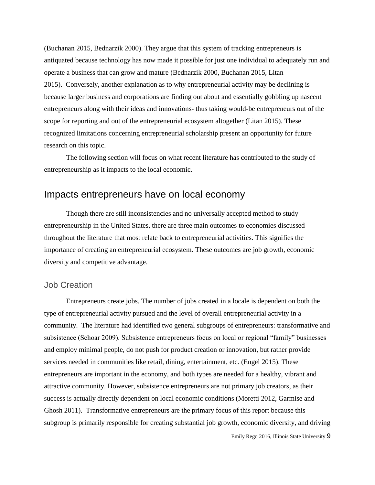(Buchanan 2015, Bednarzik 2000). They argue that this system of tracking entrepreneurs is antiquated because technology has now made it possible for just one individual to adequately run and operate a business that can grow and mature (Bednarzik 2000, Buchanan 2015, Litan 2015). Conversely, another explanation as to why entrepreneurial activity may be declining is because larger business and corporations are finding out about and essentially gobbling up nascent entrepreneurs along with their ideas and innovations- thus taking would-be entrepreneurs out of the scope for reporting and out of the entrepreneurial ecosystem altogether (Litan 2015). These recognized limitations concerning entrepreneurial scholarship present an opportunity for future research on this topic.

The following section will focus on what recent literature has contributed to the study of entrepreneurship as it impacts to the local economic.

## Impacts entrepreneurs have on local economy

Though there are still inconsistencies and no universally accepted method to study entrepreneurship in the United States, there are three main outcomes to economies discussed throughout the literature that most relate back to entrepreneurial activities. This signifies the importance of creating an entrepreneurial ecosystem. These outcomes are job growth, economic diversity and competitive advantage.

### Job Creation

Entrepreneurs create jobs. The number of jobs created in a locale is dependent on both the type of entrepreneurial activity pursued and the level of overall entrepreneurial activity in a community. The literature had identified two general subgroups of entrepreneurs: transformative and subsistence (Schoar 2009). Subsistence entrepreneurs focus on local or regional "family" businesses and employ minimal people, do not push for product creation or innovation, but rather provide services needed in communities like retail, dining, entertainment, etc. (Engel 2015). These entrepreneurs are important in the economy, and both types are needed for a healthy, vibrant and attractive community. However, subsistence entrepreneurs are not primary job creators, as their success is actually directly dependent on local economic conditions (Moretti 2012, Garmise and Ghosh 2011). Transformative entrepreneurs are the primary focus of this report because this subgroup is primarily responsible for creating substantial job growth, economic diversity, and driving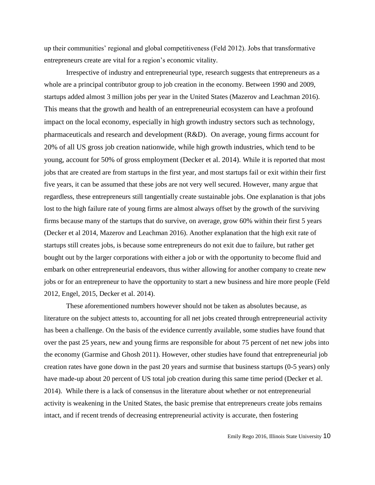up their communities' regional and global competitiveness (Feld 2012). Jobs that transformative entrepreneurs create are vital for a region's economic vitality.

Irrespective of industry and entrepreneurial type, research suggests that entrepreneurs as a whole are a principal contributor group to job creation in the economy. Between 1990 and 2009, startups added almost 3 million jobs per year in the United States (Mazerov and Leachman 2016). This means that the growth and health of an entrepreneurial ecosystem can have a profound impact on the local economy, especially in high growth industry sectors such as technology, pharmaceuticals and research and development (R&D). On average, young firms account for 20% of all US gross job creation nationwide, while high growth industries, which tend to be young, account for 50% of gross employment (Decker et al. 2014). While it is reported that most jobs that are created are from startups in the first year, and most startups fail or exit within their first five years, it can be assumed that these jobs are not very well secured. However, many argue that regardless, these entrepreneurs still tangentially create sustainable jobs. One explanation is that jobs lost to the high failure rate of young firms are almost always offset by the growth of the surviving firms because many of the startups that do survive, on average, grow 60% within their first 5 years (Decker et al 2014, Mazerov and Leachman 2016). Another explanation that the high exit rate of startups still creates jobs, is because some entrepreneurs do not exit due to failure, but rather get bought out by the larger corporations with either a job or with the opportunity to become fluid and embark on other entrepreneurial endeavors, thus wither allowing for another company to create new jobs or for an entrepreneur to have the opportunity to start a new business and hire more people (Feld 2012, Engel, 2015, Decker et al. 2014).

These aforementioned numbers however should not be taken as absolutes because, as literature on the subject attests to, accounting for all net jobs created through entrepreneurial activity has been a challenge. On the basis of the evidence currently available, some studies have found that over the past 25 years, new and young firms are responsible for about 75 percent of net new jobs into the economy (Garmise and Ghosh 2011). However, other studies have found that entrepreneurial job creation rates have gone down in the past 20 years and surmise that business startups (0-5 years) only have made-up about 20 percent of US total job creation during this same time period (Decker et al. 2014). While there is a lack of consensus in the literature about whether or not entrepreneurial activity is weakening in the United States, the basic premise that entrepreneurs create jobs remains intact, and if recent trends of decreasing entrepreneurial activity is accurate, then fostering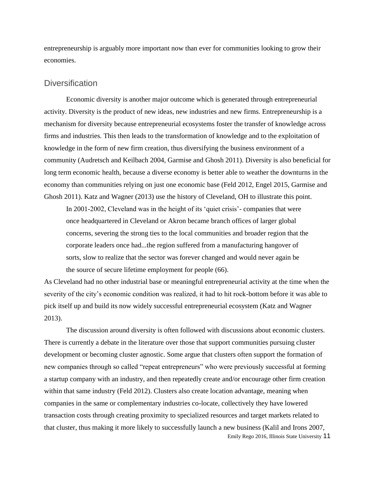entrepreneurship is arguably more important now than ever for communities looking to grow their economies.

## **Diversification**

Economic diversity is another major outcome which is generated through entrepreneurial activity. Diversity is the product of new ideas, new industries and new firms. Entrepreneurship is a mechanism for diversity because entrepreneurial ecosystems foster the transfer of knowledge across firms and industries. This then leads to the transformation of knowledge and to the exploitation of knowledge in the form of new firm creation, thus diversifying the business environment of a community (Audretsch and Keilbach 2004, Garmise and Ghosh 2011). Diversity is also beneficial for long term economic health, because a diverse economy is better able to weather the downturns in the economy than communities relying on just one economic base (Feld 2012, Engel 2015, Garmise and Ghosh 2011). Katz and Wagner (2013) use the history of Cleveland, OH to illustrate this point.

In 2001-2002, Cleveland was in the height of its 'quiet crisis'- companies that were once headquartered in Cleveland or Akron became branch offices of larger global concerns, severing the strong ties to the local communities and broader region that the corporate leaders once had...the region suffered from a manufacturing hangover of sorts, slow to realize that the sector was forever changed and would never again be the source of secure lifetime employment for people (66).

As Cleveland had no other industrial base or meaningful entrepreneurial activity at the time when the severity of the city's economic condition was realized, it had to hit rock-bottom before it was able to pick itself up and build its now widely successful entrepreneurial ecosystem (Katz and Wagner 2013).

Emily Rego 2016, Illinois State University 11 The discussion around diversity is often followed with discussions about economic clusters. There is currently a debate in the literature over those that support communities pursuing cluster development or becoming cluster agnostic. Some argue that clusters often support the formation of new companies through so called "repeat entrepreneurs" who were previously successful at forming a startup company with an industry, and then repeatedly create and/or encourage other firm creation within that same industry (Feld 2012). Clusters also create location advantage, meaning when companies in the same or complementary industries co-locate, collectively they have lowered transaction costs through creating proximity to specialized resources and target markets related to that cluster, thus making it more likely to successfully launch a new business (Kalil and Irons 2007,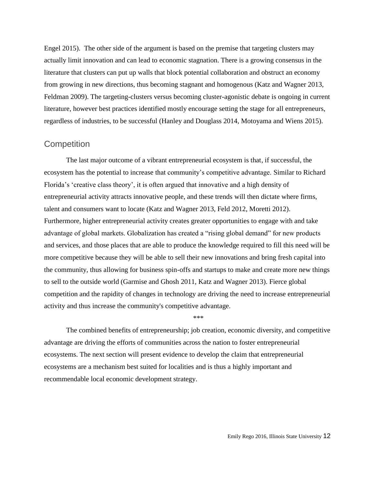Engel 2015). The other side of the argument is based on the premise that targeting clusters may actually limit innovation and can lead to economic stagnation. There is a growing consensus in the literature that clusters can put up walls that block potential collaboration and obstruct an economy from growing in new directions, thus becoming stagnant and homogenous (Katz and Wagner 2013, Feldman 2009). The targeting-clusters versus becoming cluster-agonistic debate is ongoing in current literature, however best practices identified mostly encourage setting the stage for all entrepreneurs, regardless of industries, to be successful (Hanley and Douglass 2014, Motoyama and Wiens 2015).

## **Competition**

The last major outcome of a vibrant entrepreneurial ecosystem is that, if successful, the ecosystem has the potential to increase that community's competitive advantage. Similar to Richard Florida's 'creative class theory', it is often argued that innovative and a high density of entrepreneurial activity attracts innovative people, and these trends will then dictate where firms, talent and consumers want to locate (Katz and Wagner 2013, Feld 2012, Moretti 2012). Furthermore, higher entrepreneurial activity creates greater opportunities to engage with and take advantage of global markets. Globalization has created a "rising global demand" for new products and services, and those places that are able to produce the knowledge required to fill this need will be more competitive because they will be able to sell their new innovations and bring fresh capital into the community, thus allowing for business spin-offs and startups to make and create more new things to sell to the outside world (Garmise and Ghosh 2011, Katz and Wagner 2013). Fierce global competition and the rapidity of changes in technology are driving the need to increase entrepreneurial activity and thus increase the community's competitive advantage.

The combined benefits of entrepreneurship; job creation, economic diversity, and competitive advantage are driving the efforts of communities across the nation to foster entrepreneurial ecosystems. The next section will present evidence to develop the claim that entrepreneurial ecosystems are a mechanism best suited for localities and is thus a highly important and recommendable local economic development strategy.

\*\*\*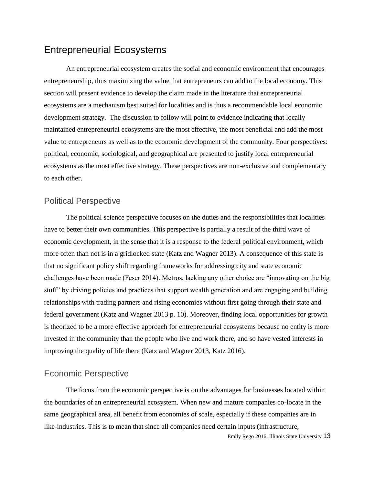## Entrepreneurial Ecosystems

An entrepreneurial ecosystem creates the social and economic environment that encourages entrepreneurship, thus maximizing the value that entrepreneurs can add to the local economy. This section will present evidence to develop the claim made in the literature that entrepreneurial ecosystems are a mechanism best suited for localities and is thus a recommendable local economic development strategy. The discussion to follow will point to evidence indicating that locally maintained entrepreneurial ecosystems are the most effective, the most beneficial and add the most value to entrepreneurs as well as to the economic development of the community. Four perspectives: political, economic, sociological, and geographical are presented to justify local entrepreneurial ecosystems as the most effective strategy. These perspectives are non-exclusive and complementary to each other.

## Political Perspective

The political science perspective focuses on the duties and the responsibilities that localities have to better their own communities. This perspective is partially a result of the third wave of economic development, in the sense that it is a response to the federal political environment, which more often than not is in a gridlocked state (Katz and Wagner 2013). A consequence of this state is that no significant policy shift regarding frameworks for addressing city and state economic challenges have been made (Feser 2014). Metros, lacking any other choice are "innovating on the big stuff" by driving policies and practices that support wealth generation and are engaging and building relationships with trading partners and rising economies without first going through their state and federal government (Katz and Wagner 2013 p. 10). Moreover, finding local opportunities for growth is theorized to be a more effective approach for entrepreneurial ecosystems because no entity is more invested in the community than the people who live and work there, and so have vested interests in improving the quality of life there (Katz and Wagner 2013, Katz 2016).

## Economic Perspective

The focus from the economic perspective is on the advantages for businesses located within the boundaries of an entrepreneurial ecosystem. When new and mature companies co-locate in the same geographical area, all benefit from economies of scale, especially if these companies are in like-industries. This is to mean that since all companies need certain inputs (infrastructure,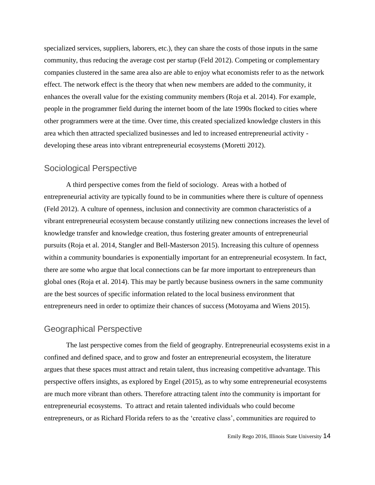specialized services, suppliers, laborers, etc.), they can share the costs of those inputs in the same community, thus reducing the average cost per startup (Feld 2012). Competing or complementary companies clustered in the same area also are able to enjoy what economists refer to as the network effect. The network effect is the theory that when new members are added to the community, it enhances the overall value for the existing community members (Roja et al. 2014). For example, people in the programmer field during the internet boom of the late 1990s flocked to cities where other programmers were at the time. Over time, this created specialized knowledge clusters in this area which then attracted specialized businesses and led to increased entrepreneurial activity developing these areas into vibrant entrepreneurial ecosystems (Moretti 2012).

## Sociological Perspective

A third perspective comes from the field of sociology. Areas with a hotbed of entrepreneurial activity are typically found to be in communities where there is culture of openness (Feld 2012). A culture of openness, inclusion and connectivity are common characteristics of a vibrant entrepreneurial ecosystem because constantly utilizing new connections increases the level of knowledge transfer and knowledge creation, thus fostering greater amounts of entrepreneurial pursuits (Roja et al. 2014, Stangler and Bell-Masterson 2015). Increasing this culture of openness within a community boundaries is exponentially important for an entrepreneurial ecosystem. In fact, there are some who argue that local connections can be far more important to entrepreneurs than global ones (Roja et al. 2014). This may be partly because business owners in the same community are the best sources of specific information related to the local business environment that entrepreneurs need in order to optimize their chances of success (Motoyama and Wiens 2015).

## Geographical Perspective

The last perspective comes from the field of geography. Entrepreneurial ecosystems exist in a confined and defined space, and to grow and foster an entrepreneurial ecosystem, the literature argues that these spaces must attract and retain talent, thus increasing competitive advantage. This perspective offers insights, as explored by Engel (2015), as to why some entrepreneurial ecosystems are much more vibrant than others. Therefore attracting talent *into* the community is important for entrepreneurial ecosystems. To attract and retain talented individuals who could become entrepreneurs, or as Richard Florida refers to as the 'creative class', communities are required to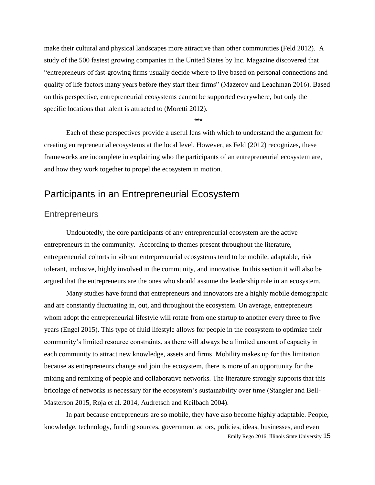make their cultural and physical landscapes more attractive than other communities (Feld 2012). A study of the 500 fastest growing companies in the United States by Inc. Magazine discovered that "entrepreneurs of fast-growing firms usually decide where to live based on personal connections and quality of life factors many years before they start their firms" (Mazerov and Leachman 2016). Based on this perspective, entrepreneurial ecosystems cannot be supported everywhere, but only the specific locations that talent is attracted to (Moretti 2012).

\*\*\*

Each of these perspectives provide a useful lens with which to understand the argument for creating entrepreneurial ecosystems at the local level. However, as Feld (2012) recognizes, these frameworks are incomplete in explaining who the participants of an entrepreneurial ecosystem are, and how they work together to propel the ecosystem in motion.

## Participants in an Entrepreneurial Ecosystem

#### **Entrepreneurs**

Undoubtedly, the core participants of any entrepreneurial ecosystem are the active entrepreneurs in the community. According to themes present throughout the literature, entrepreneurial cohorts in vibrant entrepreneurial ecosystems tend to be mobile, adaptable, risk tolerant, inclusive, highly involved in the community, and innovative. In this section it will also be argued that the entrepreneurs are the ones who should assume the leadership role in an ecosystem.

Many studies have found that entrepreneurs and innovators are a highly mobile demographic and are constantly fluctuating in, out, and throughout the ecosystem. On average, entrepreneurs whom adopt the entrepreneurial lifestyle will rotate from one startup to another every three to five years (Engel 2015). This type of fluid lifestyle allows for people in the ecosystem to optimize their community's limited resource constraints, as there will always be a limited amount of capacity in each community to attract new knowledge, assets and firms. Mobility makes up for this limitation because as entrepreneurs change and join the ecosystem, there is more of an opportunity for the mixing and remixing of people and collaborative networks. The literature strongly supports that this bricolage of networks is necessary for the ecosystem's sustainability over time (Stangler and Bell-Masterson 2015, Roja et al. 2014, Audretsch and Keilbach 2004).

Emily Rego 2016, Illinois State University 15 In part because entrepreneurs are so mobile, they have also become highly adaptable. People, knowledge, technology, funding sources, government actors, policies, ideas, businesses, and even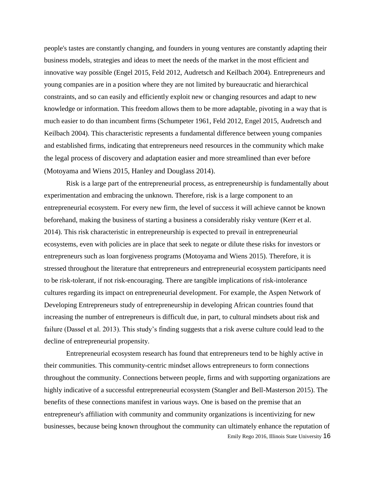people's tastes are constantly changing, and founders in young ventures are constantly adapting their business models, strategies and ideas to meet the needs of the market in the most efficient and innovative way possible (Engel 2015, Feld 2012, Audretsch and Keilbach 2004). Entrepreneurs and young companies are in a position where they are not limited by bureaucratic and hierarchical constraints, and so can easily and efficiently exploit new or changing resources and adapt to new knowledge or information. This freedom allows them to be more adaptable, pivoting in a way that is much easier to do than incumbent firms (Schumpeter 1961, Feld 2012, Engel 2015, Audretsch and Keilbach 2004). This characteristic represents a fundamental difference between young companies and established firms, indicating that entrepreneurs need resources in the community which make the legal process of discovery and adaptation easier and more streamlined than ever before (Motoyama and Wiens 2015, Hanley and Douglass 2014).

Risk is a large part of the entrepreneurial process, as entrepreneurship is fundamentally about experimentation and embracing the unknown. Therefore, risk is a large component to an entrepreneurial ecosystem. For every new firm, the level of success it will achieve cannot be known beforehand, making the business of starting a business a considerably risky venture (Kerr et al. 2014). This risk characteristic in entrepreneurship is expected to prevail in entrepreneurial ecosystems, even with policies are in place that seek to negate or dilute these risks for investors or entrepreneurs such as loan forgiveness programs (Motoyama and Wiens 2015). Therefore, it is stressed throughout the literature that entrepreneurs and entrepreneurial ecosystem participants need to be risk-tolerant, if not risk-encouraging. There are tangible implications of risk-intolerance cultures regarding its impact on entrepreneurial development. For example, the Aspen Network of Developing Entrepreneurs study of entrepreneurship in developing African countries found that increasing the number of entrepreneurs is difficult due, in part, to cultural mindsets about risk and failure (Dassel et al. 2013). This study's finding suggests that a risk averse culture could lead to the decline of entrepreneurial propensity.

Emily Rego 2016, Illinois State University 16 Entrepreneurial ecosystem research has found that entrepreneurs tend to be highly active in their communities. This community-centric mindset allows entrepreneurs to form connections throughout the community. Connections between people, firms and with supporting organizations are highly indicative of a successful entrepreneurial ecosystem (Stangler and Bell-Masterson 2015). The benefits of these connections manifest in various ways. One is based on the premise that an entrepreneur's affiliation with community and community organizations is incentivizing for new businesses, because being known throughout the community can ultimately enhance the reputation of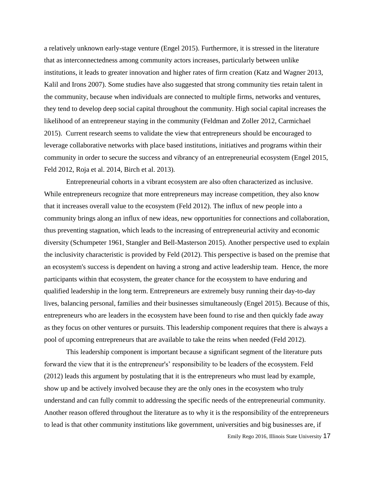a relatively unknown early-stage venture (Engel 2015). Furthermore, it is stressed in the literature that as interconnectedness among community actors increases, particularly between unlike institutions, it leads to greater innovation and higher rates of firm creation (Katz and Wagner 2013, Kalil and Irons 2007). Some studies have also suggested that strong community ties retain talent in the community, because when individuals are connected to multiple firms, networks and ventures, they tend to develop deep social capital throughout the community. High social capital increases the likelihood of an entrepreneur staying in the community (Feldman and Zoller 2012, Carmichael 2015). Current research seems to validate the view that entrepreneurs should be encouraged to leverage collaborative networks with place based institutions, initiatives and programs within their community in order to secure the success and vibrancy of an entrepreneurial ecosystem (Engel 2015, Feld 2012, Roja et al. 2014, Birch et al. 2013).

Entrepreneurial cohorts in a vibrant ecosystem are also often characterized as inclusive. While entrepreneurs recognize that more entrepreneurs may increase competition, they also know that it increases overall value to the ecosystem (Feld 2012). The influx of new people into a community brings along an influx of new ideas, new opportunities for connections and collaboration, thus preventing stagnation, which leads to the increasing of entrepreneurial activity and economic diversity (Schumpeter 1961, Stangler and Bell-Masterson 2015). Another perspective used to explain the inclusivity characteristic is provided by Feld (2012). This perspective is based on the premise that an ecosystem's success is dependent on having a strong and active leadership team. Hence, the more participants within that ecosystem, the greater chance for the ecosystem to have enduring and qualified leadership in the long term. Entrepreneurs are extremely busy running their day-to-day lives, balancing personal, families and their businesses simultaneously (Engel 2015). Because of this, entrepreneurs who are leaders in the ecosystem have been found to rise and then quickly fade away as they focus on other ventures or pursuits. This leadership component requires that there is always a pool of upcoming entrepreneurs that are available to take the reins when needed (Feld 2012).

This leadership component is important because a significant segment of the literature puts forward the view that it is the entrepreneur's' responsibility to be leaders of the ecosystem. Feld (2012) leads this argument by postulating that it is the entrepreneurs who must lead by example, show up and be actively involved because they are the only ones in the ecosystem who truly understand and can fully commit to addressing the specific needs of the entrepreneurial community. Another reason offered throughout the literature as to why it is the responsibility of the entrepreneurs to lead is that other community institutions like government, universities and big businesses are, if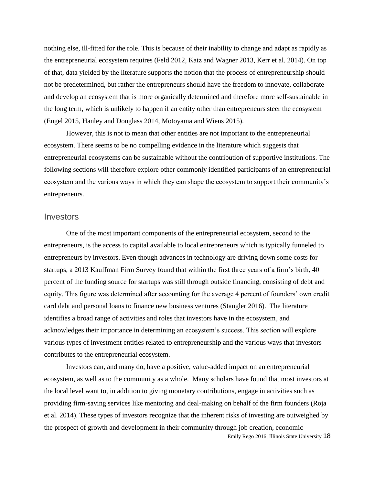nothing else, ill-fitted for the role. This is because of their inability to change and adapt as rapidly as the entrepreneurial ecosystem requires (Feld 2012, Katz and Wagner 2013, Kerr et al. 2014). On top of that, data yielded by the literature supports the notion that the process of entrepreneurship should not be predetermined, but rather the entrepreneurs should have the freedom to innovate, collaborate and develop an ecosystem that is more organically determined and therefore more self-sustainable in the long term, which is unlikely to happen if an entity other than entrepreneurs steer the ecosystem (Engel 2015, Hanley and Douglass 2014, Motoyama and Wiens 2015).

However, this is not to mean that other entities are not important to the entrepreneurial ecosystem. There seems to be no compelling evidence in the literature which suggests that entrepreneurial ecosystems can be sustainable without the contribution of supportive institutions. The following sections will therefore explore other commonly identified participants of an entrepreneurial ecosystem and the various ways in which they can shape the ecosystem to support their community's entrepreneurs.

#### **Investors**

One of the most important components of the entrepreneurial ecosystem, second to the entrepreneurs, is the access to capital available to local entrepreneurs which is typically funneled to entrepreneurs by investors. Even though advances in technology are driving down some costs for startups, a 2013 Kauffman Firm Survey found that within the first three years of a firm's birth, 40 percent of the funding source for startups was still through outside financing, consisting of debt and equity. This figure was determined after accounting for the average 4 percent of founders' own credit card debt and personal loans to finance new business ventures (Stangler 2016). The literature identifies a broad range of activities and roles that investors have in the ecosystem, and acknowledges their importance in determining an ecosystem's success. This section will explore various types of investment entities related to entrepreneurship and the various ways that investors contributes to the entrepreneurial ecosystem.

Investors can, and many do, have a positive, value-added impact on an entrepreneurial ecosystem, as well as to the community as a whole. Many scholars have found that most investors at the local level want to, in addition to giving monetary contributions, engage in activities such as providing firm-saving services like mentoring and deal-making on behalf of the firm founders (Roja et al. 2014). These types of investors recognize that the inherent risks of investing are outweighed by the prospect of growth and development in their community through job creation, economic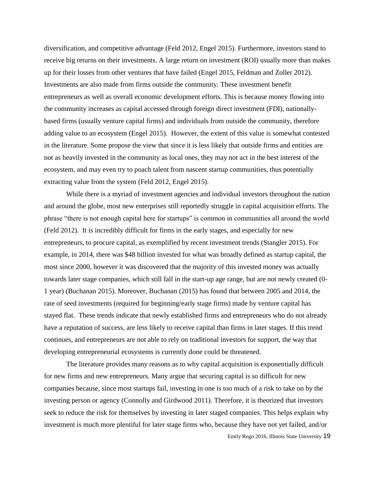diversification, and competitive advantage (Feld 2012, Engel 2015). Furthermore, investors stand to receive big returns on their investments. A large return on investment (ROI) usually more than makes up for their losses from other ventures that have failed (Engel 2015, Feldman and Zoller 2012). Investments are also made from firms outside the community. These investment benefit entrepreneurs as well as overall economic development efforts. This is because money flowing into the community increases as capital accessed through foreign direct investment (FDI), nationallybased firms (usually venture capital firms) and individuals from outside the community, therefore adding value to an ecosystem (Engel 2015). However, the extent of this value is somewhat contested in the literature. Some propose the view that since it is less likely that outside firms and entities are not as heavily invested in the community as local ones, they may not act in the best interest of the ecosystem, and may even try to poach talent from nascent startup communities, thus potentially extracting value from the system (Feld 2012, Engel 2015).

While there is a myriad of investment agencies and individual investors throughout the nation and around the globe, most new enterprises still reportedly struggle in capital acquisition efforts. The phrase "there is not enough capital here for startups" is common in communities all around the world (Feld 2012). It is incredibly difficult for firms in the early stages, and especially for new entrepreneurs, to procure capital, as exemplified by recent investment trends (Stangler 2015). For example, in 2014, there was \$48 billion invested for what was broadly defined as startup capital, the most since 2000, however it was discovered that the majority of this invested money was actually towards later stage companies, which still fall in the start-up age range, but are not newly created (0- 1 year) (Buchanan 2015). Moreover, Buchanan (2015) has found that between 2005 and 2014, the rate of seed investments (required for beginning/early stage firms) made by venture capital has stayed flat. These trends indicate that newly established firms and entrepreneurs who do not already have a reputation of success, are less likely to receive capital than firms in later stages. If this trend continues, and entrepreneurs are not able to rely on traditional investors for support, the way that developing entrepreneurial ecosystems is currently done could be threatened.

The literature provides many reasons as to why capital acquisition is exponentially difficult for new firms and new entrepreneurs. Many argue that securing capital is so difficult for new companies because, since most startups fail, investing in one is too much of a risk to take on by the investing person or agency (Connolly and Girdwood 2011). Therefore, it is theorized that investors seek to reduce the risk for themselves by investing in later staged companies. This helps explain why investment is much more plentiful for later stage firms who, because they have not yet failed, and/or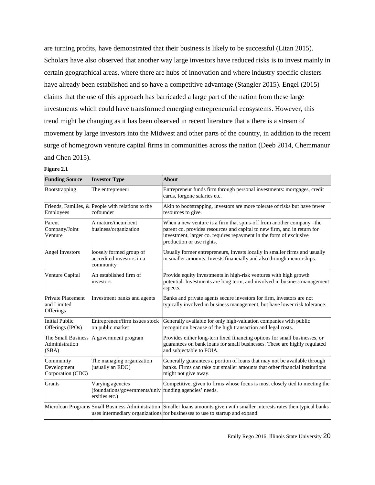are turning profits, have demonstrated that their business is likely to be successful (Litan 2015). Scholars have also observed that another way large investors have reduced risks is to invest mainly in certain geographical areas, where there are hubs of innovation and where industry specific clusters have already been established and so have a competitive advantage (Stangler 2015). Engel (2015) claims that the use of this approach has barricaded a large part of the nation from these large investments which could have transformed emerging entrepreneurial ecosystems. However, this trend might be changing as it has been observed in recent literature that a there is a stream of movement by large investors into the Midwest and other parts of the country, in addition to the recent surge of homegrown venture capital firms in communities across the nation (Deeb 2014, Chemmanur and Chen 2015).

| <b>Funding Source</b>                         | <b>Investor Type</b>                                                                         | <b>About</b>                                                                                                                                                                                                                                         |
|-----------------------------------------------|----------------------------------------------------------------------------------------------|------------------------------------------------------------------------------------------------------------------------------------------------------------------------------------------------------------------------------------------------------|
| Bootstrapping                                 | The entrepreneur                                                                             | Entrepreneur funds firm through personal investments: mortgages, credit<br>cards, forgone salaries etc.                                                                                                                                              |
| Employees                                     | Friends, Families, $\&$ People with relations to the<br>cofounder                            | Akin to bootstrapping, investors are more tolerate of risks but have fewer<br>resources to give.                                                                                                                                                     |
| Parent<br>Company/Joint<br>Venture            | A mature/incumbent<br>business/organization                                                  | When a new venture is a firm that spins-off from another company -the<br>parent co. provides resources and capital to new firm, and in return for<br>investment, larger co. requires repayment in the form of exclusive<br>production or use rights. |
| Angel Investors                               | loosely formed group of<br>accredited investors in a<br>community                            | Usually former entrepreneurs, invests locally in smaller firms and usually<br>in smaller amounts. Invests financially and also through mentorships.                                                                                                  |
| Venture Capital                               | An established firm of<br>investors                                                          | Provide equity investments in high-risk ventures with high growth<br>potential. Investments are long term, and involved in business management<br>aspects.                                                                                           |
| Private Placement<br>and Limited<br>Offerings | Investment banks and agents                                                                  | Banks and private agents secure investors for firm, investors are not<br>typically involved in business management, but have lower risk tolerance.                                                                                                   |
| <b>Initial Public</b><br>Offerings (IPOs)     | Entrepreneur/firm issues stock<br>on public market                                           | Generally available for only high-valuation companies with public<br>recognition because of the high transaction and legal costs.                                                                                                                    |
| The Small Business<br>Administration<br>(SBA) | A government program                                                                         | Provides either long-tern fixed financing options for small businesses, or<br>guarantees on bank loans for small businesses. These are highly regulated<br>and subjectable to FOIA.                                                                  |
| Community<br>Development<br>Corporation (CDC) | The managing organization<br>(usually an EDO)                                                | Generally guarantees a portion of loans that may not be available through<br>banks. Firms can take out smaller amounts that other financial institutions<br>might not give away.                                                                     |
| <b>Grants</b>                                 | Varying agencies<br>(foundations/governments/univ funding agencies' needs.<br>ersities etc.) | Competitive, given to firms whose focus is most closely tied to meeting the                                                                                                                                                                          |
|                                               |                                                                                              | Microloan Programs Small Business Administration Smaller loans amounts given with smaller interests rates then typical banks<br>uses intermediary organizations for businesses to use to startup and expand.                                         |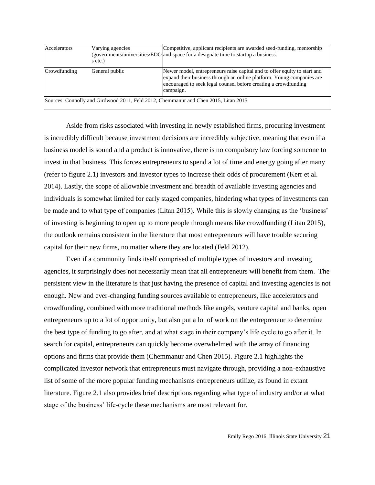| Accelerators                                                                        | Varying agencies<br>s etc.) | Competitive, applicant recipients are awarded seed-funding, mentorship<br>(governments/universities/EDO and space for a designate time to startup a business.                                                                      |  |  |  |  |
|-------------------------------------------------------------------------------------|-----------------------------|------------------------------------------------------------------------------------------------------------------------------------------------------------------------------------------------------------------------------------|--|--|--|--|
| Crowdfunding                                                                        | General public              | Newer model, entrepreneurs raise capital and to offer equity to start and<br>expand their business through an online platform. Young companies are<br>encouraged to seek legal counsel before creating a crowdfunding<br>campaign. |  |  |  |  |
| Sources: Connolly and Girdwood 2011, Feld 2012, Chemmanur and Chen 2015, Litan 2015 |                             |                                                                                                                                                                                                                                    |  |  |  |  |

Aside from risks associated with investing in newly established firms, procuring investment is incredibly difficult because investment decisions are incredibly subjective, meaning that even if a business model is sound and a product is innovative, there is no compulsory law forcing someone to invest in that business. This forces entrepreneurs to spend a lot of time and energy going after many (refer to figure 2.1) investors and investor types to increase their odds of procurement (Kerr et al. 2014). Lastly, the scope of allowable investment and breadth of available investing agencies and individuals is somewhat limited for early staged companies, hindering what types of investments can be made and to what type of companies (Litan 2015). While this is slowly changing as the 'business' of investing is beginning to open up to more people through means like crowdfunding (Litan 2015), the outlook remains consistent in the literature that most entrepreneurs will have trouble securing capital for their new firms, no matter where they are located (Feld 2012).

Even if a community finds itself comprised of multiple types of investors and investing agencies, it surprisingly does not necessarily mean that all entrepreneurs will benefit from them. The persistent view in the literature is that just having the presence of capital and investing agencies is not enough. New and ever-changing funding sources available to entrepreneurs, like accelerators and crowdfunding, combined with more traditional methods like angels, venture capital and banks, open entrepreneurs up to a lot of opportunity, but also put a lot of work on the entrepreneur to determine the best type of funding to go after, and at what stage in their company's life cycle to go after it. In search for capital, entrepreneurs can quickly become overwhelmed with the array of financing options and firms that provide them (Chemmanur and Chen 2015). Figure 2.1 highlights the complicated investor network that entrepreneurs must navigate through, providing a non-exhaustive list of some of the more popular funding mechanisms entrepreneurs utilize, as found in extant literature. Figure 2.1 also provides brief descriptions regarding what type of industry and/or at what stage of the business' life-cycle these mechanisms are most relevant for.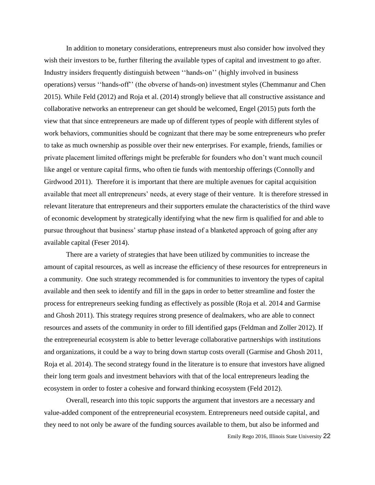In addition to monetary considerations, entrepreneurs must also consider how involved they wish their investors to be, further filtering the available types of capital and investment to go after. Industry insiders frequently distinguish between ''hands-on'' (highly involved in business operations) versus ''hands-off'' (the obverse of hands-on) investment styles (Chemmanur and Chen 2015). While Feld (2012) and Roja et al. (2014) strongly believe that all constructive assistance and collaborative networks an entrepreneur can get should be welcomed, Engel (2015) puts forth the view that that since entrepreneurs are made up of different types of people with different styles of work behaviors, communities should be cognizant that there may be some entrepreneurs who prefer to take as much ownership as possible over their new enterprises. For example, friends, families or private placement limited offerings might be preferable for founders who don't want much council like angel or venture capital firms, who often tie funds with mentorship offerings (Connolly and Girdwood 2011). Therefore it is important that there are multiple avenues for capital acquisition available that meet all entrepreneurs' needs, at every stage of their venture. It is therefore stressed in relevant literature that entrepreneurs and their supporters emulate the characteristics of the third wave of economic development by strategically identifying what the new firm is qualified for and able to pursue throughout that business' startup phase instead of a blanketed approach of going after any available capital (Feser 2014).

There are a variety of strategies that have been utilized by communities to increase the amount of capital resources, as well as increase the efficiency of these resources for entrepreneurs in a community. One such strategy recommended is for communities to inventory the types of capital available and then seek to identify and fill in the gaps in order to better streamline and foster the process for entrepreneurs seeking funding as effectively as possible (Roja et al. 2014 and Garmise and Ghosh 2011). This strategy requires strong presence of dealmakers, who are able to connect resources and assets of the community in order to fill identified gaps (Feldman and Zoller 2012). If the entrepreneurial ecosystem is able to better leverage collaborative partnerships with institutions and organizations, it could be a way to bring down startup costs overall (Garmise and Ghosh 2011, Roja et al. 2014). The second strategy found in the literature is to ensure that investors have aligned their long term goals and investment behaviors with that of the local entrepreneurs leading the ecosystem in order to foster a cohesive and forward thinking ecosystem (Feld 2012).

Overall, research into this topic supports the argument that investors are a necessary and value-added component of the entrepreneurial ecosystem. Entrepreneurs need outside capital, and they need to not only be aware of the funding sources available to them, but also be informed and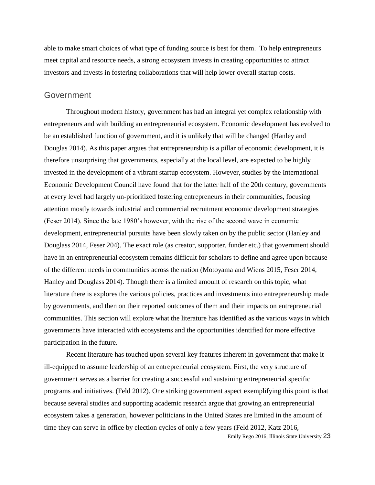able to make smart choices of what type of funding source is best for them. To help entrepreneurs meet capital and resource needs, a strong ecosystem invests in creating opportunities to attract investors and invests in fostering collaborations that will help lower overall startup costs.

#### **Government**

Throughout modern history, government has had an integral yet complex relationship with entrepreneurs and with building an entrepreneurial ecosystem. Economic development has evolved to be an established function of government, and it is unlikely that will be changed (Hanley and Douglas 2014). As this paper argues that entrepreneurship is a pillar of economic development, it is therefore unsurprising that governments, especially at the local level, are expected to be highly invested in the development of a vibrant startup ecosystem. However, studies by the International Economic Development Council have found that for the latter half of the 20th century, governments at every level had largely un-prioritized fostering entrepreneurs in their communities, focusing attention mostly towards industrial and commercial recruitment economic development strategies (Feser 2014). Since the late 1980's however, with the rise of the second wave in economic development, entrepreneurial pursuits have been slowly taken on by the public sector (Hanley and Douglass 2014, Feser 204). The exact role (as creator, supporter, funder etc.) that government should have in an entrepreneurial ecosystem remains difficult for scholars to define and agree upon because of the different needs in communities across the nation (Motoyama and Wiens 2015, Feser 2014, Hanley and Douglass 2014). Though there is a limited amount of research on this topic, what literature there is explores the various policies, practices and investments into entrepreneurship made by governments, and then on their reported outcomes of them and their impacts on entrepreneurial communities. This section will explore what the literature has identified as the various ways in which governments have interacted with ecosystems and the opportunities identified for more effective participation in the future.

Recent literature has touched upon several key features inherent in government that make it ill-equipped to assume leadership of an entrepreneurial ecosystem. First, the very structure of government serves as a barrier for creating a successful and sustaining entrepreneurial specific programs and initiatives. (Feld 2012). One striking government aspect exemplifying this point is that because several studies and supporting academic research argue that growing an entrepreneurial ecosystem takes a generation, however politicians in the United States are limited in the amount of time they can serve in office by election cycles of only a few years (Feld 2012, Katz 2016,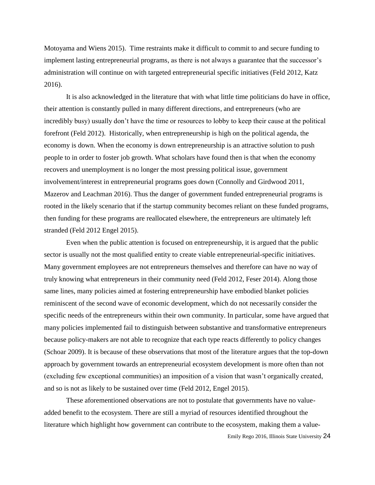Motoyama and Wiens 2015). Time restraints make it difficult to commit to and secure funding to implement lasting entrepreneurial programs, as there is not always a guarantee that the successor's administration will continue on with targeted entrepreneurial specific initiatives (Feld 2012, Katz 2016).

It is also acknowledged in the literature that with what little time politicians do have in office, their attention is constantly pulled in many different directions, and entrepreneurs (who are incredibly busy) usually don't have the time or resources to lobby to keep their cause at the political forefront (Feld 2012). Historically, when entrepreneurship is high on the political agenda, the economy is down. When the economy is down entrepreneurship is an attractive solution to push people to in order to foster job growth. What scholars have found then is that when the economy recovers and unemployment is no longer the most pressing political issue, government involvement/interest in entrepreneurial programs goes down (Connolly and Girdwood 2011, Mazerov and Leachman 2016). Thus the danger of government funded entrepreneurial programs is rooted in the likely scenario that if the startup community becomes reliant on these funded programs, then funding for these programs are reallocated elsewhere, the entrepreneurs are ultimately left stranded (Feld 2012 Engel 2015).

Even when the public attention is focused on entrepreneurship, it is argued that the public sector is usually not the most qualified entity to create viable entrepreneurial-specific initiatives. Many government employees are not entrepreneurs themselves and therefore can have no way of truly knowing what entrepreneurs in their community need (Feld 2012, Feser 2014). Along those same lines, many policies aimed at fostering entrepreneurship have embodied blanket policies reminiscent of the second wave of economic development, which do not necessarily consider the specific needs of the entrepreneurs within their own community. In particular, some have argued that many policies implemented fail to distinguish between substantive and transformative entrepreneurs because policy-makers are not able to recognize that each type reacts differently to policy changes (Schoar 2009). It is because of these observations that most of the literature argues that the top-down approach by government towards an entrepreneurial ecosystem development is more often than not (excluding few exceptional communities) an imposition of a vision that wasn't organically created, and so is not as likely to be sustained over time (Feld 2012, Engel 2015).

These aforementioned observations are not to postulate that governments have no valueadded benefit to the ecosystem. There are still a myriad of resources identified throughout the literature which highlight how government can contribute to the ecosystem, making them a value-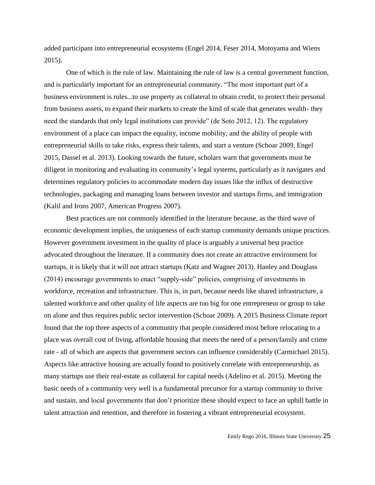added participant into entrepreneurial ecosystems (Engel 2014, Feser 2014, Motoyama and Wiens 2015).

One of which is the rule of law. Maintaining the rule of law is a central government function, and is particularly important for an entrepreneurial community. "The most important part of a business environment is rules...to use property as collateral to obtain credit, to protect their personal from business assets, to expand their markets to create the kind of scale that generates wealth- they need the standards that only legal institutions can provide" (de Soto 2012, 12). The regulatory environment of a place can impact the equality, income mobility, and the ability of people with entrepreneurial skills to take risks, express their talents, and start a venture (Schoar 2009, Engel 2015, Dassel et al. 2013). Looking towards the future, scholars warn that governments must be diligent in monitoring and evaluating its community's legal systems, particularly as it navigates and determines regulatory policies to accommodate modern day issues like the influx of destructive technologies, packaging and managing loans between investor and startups firms, and immigration (Kalil and Irons 2007, American Progress 2007).

Best practices are not commonly identified in the literature because, as the third wave of economic development implies, the uniqueness of each startup community demands unique practices. However government investment in the quality of place is arguably a universal best practice advocated throughout the literature. If a community does not create an attractive environment for startups, it is likely that it will not attract startups (Katz and Wagner 2013). Hanley and Douglass (2014) encourage governments to enact "supply-side" policies, comprising of investments in workforce, recreation and infrastructure. This is, in part, because needs like shared infrastructure, a talented workforce and other quality of life aspects are too big for one entrepreneur or group to take on alone and thus requires public sector intervention (Schoar 2009). A 2015 Business Climate report found that the top three aspects of a community that people considered most before relocating to a place was overall cost of living, affordable housing that meets the need of a person/family and crime rate - all of which are aspects that government sectors can influence considerably (Carmichael 2015). Aspects like attractive housing are actually found to positively correlate with entrepreneurship, as many startups use their real-estate as collateral for capital needs (Adelino et al. 2015). Meeting the basic needs of a community very well is a fundamental precursor for a startup community to thrive and sustain, and local governments that don't prioritize these should expect to face an uphill battle in talent attraction and retention, and therefore in fostering a vibrant entrepreneurial ecosystem.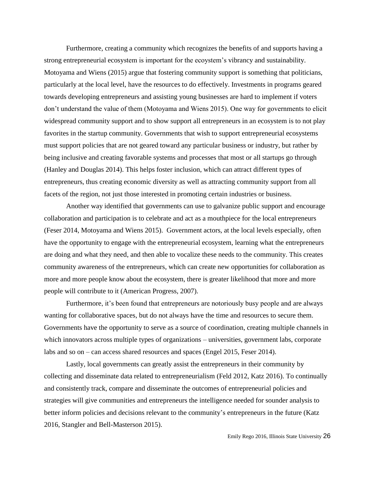Furthermore, creating a community which recognizes the benefits of and supports having a strong entrepreneurial ecosystem is important for the ecoystem's vibrancy and sustainability. Motoyama and Wiens (2015) argue that fostering community support is something that politicians, particularly at the local level, have the resources to do effectively. Investments in programs geared towards developing entrepreneurs and assisting young businesses are hard to implement if voters don't understand the value of them (Motoyama and Wiens 2015). One way for governments to elicit widespread community support and to show support all entrepreneurs in an ecosystem is to not play favorites in the startup community. Governments that wish to support entrepreneurial ecosystems must support policies that are not geared toward any particular business or industry, but rather by being inclusive and creating favorable systems and processes that most or all startups go through (Hanley and Douglas 2014). This helps foster inclusion, which can attract different types of entrepreneurs, thus creating economic diversity as well as attracting community support from all facets of the region, not just those interested in promoting certain industries or business.

Another way identified that governments can use to galvanize public support and encourage collaboration and participation is to celebrate and act as a mouthpiece for the local entrepreneurs (Feser 2014, Motoyama and Wiens 2015). Government actors, at the local levels especially, often have the opportunity to engage with the entrepreneurial ecosystem, learning what the entrepreneurs are doing and what they need, and then able to vocalize these needs to the community. This creates community awareness of the entrepreneurs, which can create new opportunities for collaboration as more and more people know about the ecosystem, there is greater likelihood that more and more people will contribute to it (American Progress, 2007).

Furthermore, it's been found that entrepreneurs are notoriously busy people and are always wanting for collaborative spaces, but do not always have the time and resources to secure them. Governments have the opportunity to serve as a source of coordination, creating multiple channels in which innovators across multiple types of organizations – universities, government labs, corporate labs and so on – can access shared resources and spaces (Engel 2015, Feser 2014).

Lastly, local governments can greatly assist the entrepreneurs in their community by collecting and disseminate data related to entrepreneurialism (Feld 2012, Katz 2016). To continually and consistently track, compare and disseminate the outcomes of entrepreneurial policies and strategies will give communities and entrepreneurs the intelligence needed for sounder analysis to better inform policies and decisions relevant to the community's entrepreneurs in the future (Katz 2016, Stangler and Bell-Masterson 2015).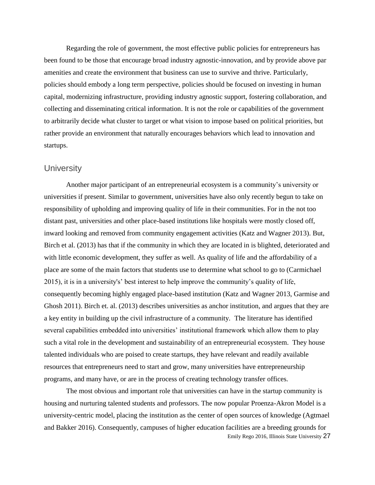Regarding the role of government, the most effective public policies for entrepreneurs has been found to be those that encourage broad industry agnostic-innovation, and by provide above par amenities and create the environment that business can use to survive and thrive. Particularly, policies should embody a long term perspective, policies should be focused on investing in human capital, modernizing infrastructure, providing industry agnostic support, fostering collaboration, and collecting and disseminating critical information. It is not the role or capabilities of the government to arbitrarily decide what cluster to target or what vision to impose based on political priorities, but rather provide an environment that naturally encourages behaviors which lead to innovation and startups.

## **University**

Another major participant of an entrepreneurial ecosystem is a community's university or universities if present. Similar to government, universities have also only recently begun to take on responsibility of upholding and improving quality of life in their communities. For in the not too distant past, universities and other place-based institutions like hospitals were mostly closed off, inward looking and removed from community engagement activities (Katz and Wagner 2013). But, Birch et al. (2013) has that if the community in which they are located in is blighted, deteriorated and with little economic development, they suffer as well. As quality of life and the affordability of a place are some of the main factors that students use to determine what school to go to (Carmichael 2015), it is in a university's' best interest to help improve the community's quality of life, consequently becoming highly engaged place-based institution (Katz and Wagner 2013, Garmise and Ghosh 2011). Birch et. al. (2013) describes universities as anchor institution, and argues that they are a key entity in building up the civil infrastructure of a community. The literature has identified several capabilities embedded into universities' institutional framework which allow them to play such a vital role in the development and sustainability of an entrepreneurial ecosystem. They house talented individuals who are poised to create startups, they have relevant and readily available resources that entrepreneurs need to start and grow, many universities have entrepreneurship programs, and many have, or are in the process of creating technology transfer offices.

Emily Rego 2016, Illinois State University 27 The most obvious and important role that universities can have in the startup community is housing and nurturing talented students and professors. The now popular Proenza-Akron Model is a university-centric model, placing the institution as the center of open sources of knowledge (Agtmael and Bakker 2016). Consequently, campuses of higher education facilities are a breeding grounds for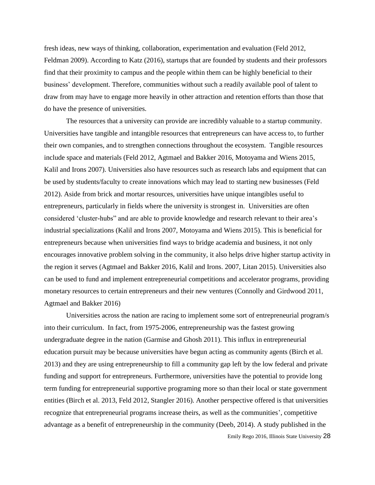fresh ideas, new ways of thinking, collaboration, experimentation and evaluation (Feld 2012, Feldman 2009). According to Katz (2016), startups that are founded by students and their professors find that their proximity to campus and the people within them can be highly beneficial to their business' development. Therefore, communities without such a readily available pool of talent to draw from may have to engage more heavily in other attraction and retention efforts than those that do have the presence of universities.

The resources that a university can provide are incredibly valuable to a startup community. Universities have tangible and intangible resources that entrepreneurs can have access to, to further their own companies, and to strengthen connections throughout the ecosystem. Tangible resources include space and materials (Feld 2012, Agtmael and Bakker 2016, Motoyama and Wiens 2015, Kalil and Irons 2007). Universities also have resources such as research labs and equipment that can be used by students/faculty to create innovations which may lead to starting new businesses (Feld 2012). Aside from brick and mortar resources, universities have unique intangibles useful to entrepreneurs, particularly in fields where the university is strongest in. Universities are often considered 'cluster-hubs" and are able to provide knowledge and research relevant to their area's industrial specializations (Kalil and Irons 2007, Motoyama and Wiens 2015). This is beneficial for entrepreneurs because when universities find ways to bridge academia and business, it not only encourages innovative problem solving in the community, it also helps drive higher startup activity in the region it serves (Agtmael and Bakker 2016, Kalil and Irons. 2007, Litan 2015). Universities also can be used to fund and implement entrepreneurial competitions and accelerator programs, providing monetary resources to certain entrepreneurs and their new ventures (Connolly and Girdwood 2011, Agtmael and Bakker 2016)

Emily Rego 2016, Illinois State University 28 Universities across the nation are racing to implement some sort of entrepreneurial program/s into their curriculum. In fact, from 1975-2006, entrepreneurship was the fastest growing undergraduate degree in the nation (Garmise and Ghosh 2011). This influx in entrepreneurial education pursuit may be because universities have begun acting as community agents (Birch et al. 2013) and they are using entrepreneurship to fill a community gap left by the low federal and private funding and support for entrepreneurs. Furthermore, universities have the potential to provide long term funding for entrepreneurial supportive programing more so than their local or state government entities (Birch et al. 2013, Feld 2012, Stangler 2016). Another perspective offered is that universities recognize that entrepreneurial programs increase theirs, as well as the communities', competitive advantage as a benefit of entrepreneurship in the community (Deeb, 2014). A study published in the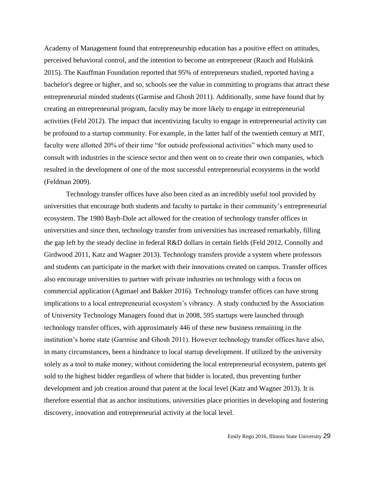Academy of Management found that entrepreneurship education has a positive effect on attitudes, perceived behavioral control, and the intention to become an entrepreneur (Rauch and Hulskink 2015). The Kauffman Foundation reported that 95% of entrepreneurs studied, reported having a bachelor's degree or higher, and so, schools see the value in committing to programs that attract these entrepreneurial minded students (Garmise and Ghosh 2011). Additionally, some have found that by creating an entrepreneurial program, faculty may be more likely to engage in entrepreneurial activities (Feld 2012). The impact that incentivizing faculty to engage in entrepreneurial activity can be profound to a startup community. For example, in the latter half of the twentieth century at MIT, faculty were allotted 20% of their time "for outside professional activities" which many used to consult with industries in the science sector and then went on to create their own companies, which resulted in the development of one of the most successful entrepreneurial ecosystems in the world (Feldman 2009).

Technology transfer offices have also been cited as an incredibly useful tool provided by universities that encourage both students and faculty to partake in their community's entrepreneurial ecosystem. The 1980 Bayh-Dole act allowed for the creation of technology transfer offices in universities and since then, technology transfer from universities has increased remarkably, filling the gap left by the steady decline in federal R&D dollars in certain fields (Feld 2012, Connolly and Girdwood 2011, Katz and Wagner 2013). Technology transfers provide a system where professors and students can participate in the market with their innovations created on campus. Transfer offices also encourage universities to partner with private industries on technology with a focus on commercial application (Agtmael and Bakker 2016). Technology transfer offices can have strong implications to a local entrepreneurial ecosystem's vibrancy. A study conducted by the Association of University Technology Managers found that in 2008, 595 startups were launched through technology transfer offices, with approximately 446 of these new business remaining in the institution's home state (Garmise and Ghosh 2011). However technology transfer offices have also, in many circumstances, been a hindrance to local startup development. If utilized by the university solely as a tool to make money, without considering the local entrepreneurial ecosystem, patents get sold to the highest bidder regardless of where that bidder is located, thus preventing further development and job creation around that patent at the local level (Katz and Wagner 2013). It is therefore essential that as anchor institutions, universities place priorities in developing and fostering discovery, innovation and entrepreneurial activity at the local level.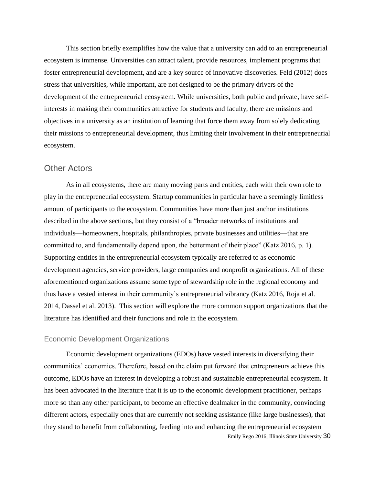This section briefly exemplifies how the value that a university can add to an entrepreneurial ecosystem is immense. Universities can attract talent, provide resources, implement programs that foster entrepreneurial development, and are a key source of innovative discoveries. Feld (2012) does stress that universities, while important, are not designed to be the primary drivers of the development of the entrepreneurial ecosystem. While universities, both public and private, have selfinterests in making their communities attractive for students and faculty, there are missions and objectives in a university as an institution of learning that force them away from solely dedicating their missions to entrepreneurial development, thus limiting their involvement in their entrepreneurial ecosystem.

### Other Actors

As in all ecosystems, there are many moving parts and entities, each with their own role to play in the entrepreneurial ecosystem. Startup communities in particular have a seemingly limitless amount of participants to the ecosystem. Communities have more than just anchor institutions described in the above sections, but they consist of a "broader networks of institutions and individuals—homeowners, hospitals, philanthropies, private businesses and utilities—that are committed to, and fundamentally depend upon, the betterment of their place" (Katz 2016, p. 1). Supporting entities in the entrepreneurial ecosystem typically are referred to as economic development agencies, service providers, large companies and nonprofit organizations. All of these aforementioned organizations assume some type of stewardship role in the regional economy and thus have a vested interest in their community's entrepreneurial vibrancy (Katz 2016, Roja et al. 2014, Dassel et al. 2013). This section will explore the more common support organizations that the literature has identified and their functions and role in the ecosystem.

#### Economic Development Organizations

Emily Rego 2016, Illinois State University 30 Economic development organizations (EDOs) have vested interests in diversifying their communities' economies. Therefore, based on the claim put forward that entrepreneurs achieve this outcome, EDOs have an interest in developing a robust and sustainable entrepreneurial ecosystem. It has been advocated in the literature that it is up to the economic development practitioner, perhaps more so than any other participant, to become an effective dealmaker in the community, convincing different actors, especially ones that are currently not seeking assistance (like large businesses), that they stand to benefit from collaborating, feeding into and enhancing the entrepreneurial ecosystem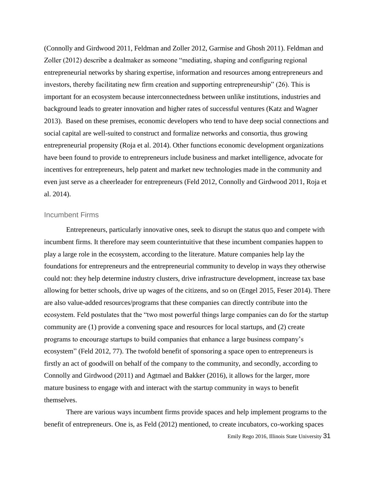(Connolly and Girdwood 2011, Feldman and Zoller 2012, Garmise and Ghosh 2011). Feldman and Zoller (2012) describe a dealmaker as someone "mediating, shaping and configuring regional entrepreneurial networks by sharing expertise, information and resources among entrepreneurs and investors, thereby facilitating new firm creation and supporting entrepreneurship" (26). This is important for an ecosystem because interconnectedness between unlike institutions, industries and background leads to greater innovation and higher rates of successful ventures (Katz and Wagner 2013). Based on these premises, economic developers who tend to have deep social connections and social capital are well-suited to construct and formalize networks and consortia, thus growing entrepreneurial propensity (Roja et al. 2014). Other functions economic development organizations have been found to provide to entrepreneurs include business and market intelligence, advocate for incentives for entrepreneurs, help patent and market new technologies made in the community and even just serve as a cheerleader for entrepreneurs (Feld 2012, Connolly and Girdwood 2011, Roja et al. 2014).

#### Incumbent Firms

Entrepreneurs, particularly innovative ones, seek to disrupt the status quo and compete with incumbent firms. It therefore may seem counterintuitive that these incumbent companies happen to play a large role in the ecosystem, according to the literature. Mature companies help lay the foundations for entrepreneurs and the entrepreneurial community to develop in ways they otherwise could not: they help determine industry clusters, drive infrastructure development, increase tax base allowing for better schools, drive up wages of the citizens, and so on (Engel 2015, Feser 2014). There are also value-added resources/programs that these companies can directly contribute into the ecosystem. Feld postulates that the "two most powerful things large companies can do for the startup community are (1) provide a convening space and resources for local startups, and (2) create programs to encourage startups to build companies that enhance a large business company's ecosystem" (Feld 2012, 77). The twofold benefit of sponsoring a space open to entrepreneurs is firstly an act of goodwill on behalf of the company to the community, and secondly, according to Connolly and Girdwood (2011) and Agtmael and Bakker (2016), it allows for the larger, more mature business to engage with and interact with the startup community in ways to benefit themselves.

There are various ways incumbent firms provide spaces and help implement programs to the benefit of entrepreneurs. One is, as Feld (2012) mentioned, to create incubators, co-working spaces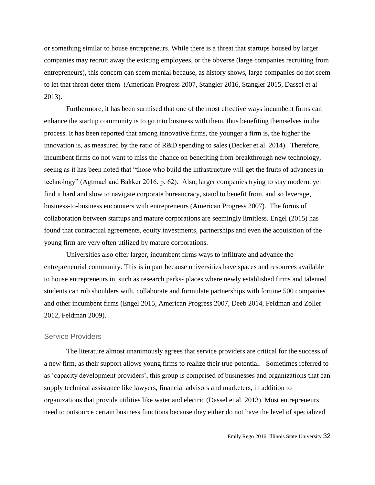or something similar to house entrepreneurs. While there is a threat that startups housed by larger companies may recruit away the existing employees, or the obverse (large companies recruiting from entrepreneurs), this concern can seem menial because, as history shows, large companies do not seem to let that threat deter them (American Progress 2007, Stangler 2016, Stangler 2015, Dassel et al 2013).

Furthermore, it has been surmised that one of the most effective ways incumbent firms can enhance the startup community is to go into business with them, thus benefiting themselves in the process. It has been reported that among innovative firms, the younger a firm is, the higher the innovation is, as measured by the ratio of R&D spending to sales (Decker et al. 2014). Therefore, incumbent firms do not want to miss the chance on benefiting from breakthrough new technology, seeing as it has been noted that "those who build the infrastructure will get the fruits of advances in technology" (Agtmael and Bakker 2016, p. 62). Also, larger companies trying to stay modern, yet find it hard and slow to navigate corporate bureaucracy, stand to benefit from, and so leverage, business-to-business encounters with entrepreneurs (American Progress 2007). The forms of collaboration between startups and mature corporations are seemingly limitless. Engel (2015) has found that contractual agreements, equity investments, partnerships and even the acquisition of the young firm are very often utilized by mature corporations.

Universities also offer larger, incumbent firms ways to infiltrate and advance the entrepreneurial community. This is in part because universities have spaces and resources available to house entrepreneurs in, such as research parks- places where newly established firms and talented students can rub shoulders with, collaborate and formulate partnerships with fortune 500 companies and other incumbent firms (Engel 2015, American Progress 2007, Deeb 2014, Feldman and Zoller 2012, Feldman 2009).

#### Service Providers

The literature almost unanimously agrees that service providers are critical for the success of a new firm, as their support allows young firms to realize their true potential. Sometimes referred to as 'capacity development providers', this group is comprised of businesses and organizations that can supply technical assistance like lawyers, financial advisors and marketers, in addition to organizations that provide utilities like water and electric (Dassel et al. 2013). Most entrepreneurs need to outsource certain business functions because they either do not have the level of specialized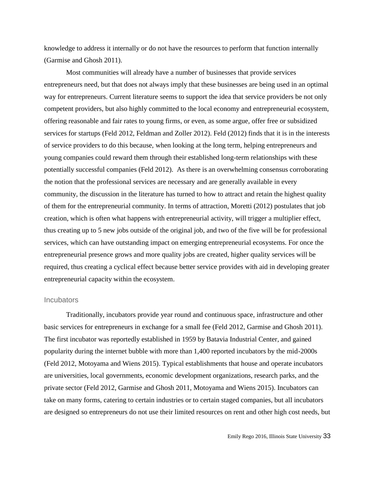knowledge to address it internally or do not have the resources to perform that function internally (Garmise and Ghosh 2011).

Most communities will already have a number of businesses that provide services entrepreneurs need, but that does not always imply that these businesses are being used in an optimal way for entrepreneurs. Current literature seems to support the idea that service providers be not only competent providers, but also highly committed to the local economy and entrepreneurial ecosystem, offering reasonable and fair rates to young firms, or even, as some argue, offer free or subsidized services for startups (Feld 2012, Feldman and Zoller 2012). Feld (2012) finds that it is in the interests of service providers to do this because, when looking at the long term, helping entrepreneurs and young companies could reward them through their established long-term relationships with these potentially successful companies (Feld 2012). As there is an overwhelming consensus corroborating the notion that the professional services are necessary and are generally available in every community, the discussion in the literature has turned to how to attract and retain the highest quality of them for the entrepreneurial community. In terms of attraction, Moretti (2012) postulates that job creation, which is often what happens with entrepreneurial activity, will trigger a multiplier effect, thus creating up to 5 new jobs outside of the original job, and two of the five will be for professional services, which can have outstanding impact on emerging entrepreneurial ecosystems. For once the entrepreneurial presence grows and more quality jobs are created, higher quality services will be required, thus creating a cyclical effect because better service provides with aid in developing greater entrepreneurial capacity within the ecosystem.

#### **Incubators**

Traditionally, incubators provide year round and continuous space, infrastructure and other basic services for entrepreneurs in exchange for a small fee (Feld 2012, Garmise and Ghosh 2011). The first incubator was reportedly established in 1959 by Batavia Industrial Center, and gained popularity during the internet bubble with more than 1,400 reported incubators by the mid-2000s (Feld 2012, Motoyama and Wiens 2015). Typical establishments that house and operate incubators are universities, local governments, economic development organizations, research parks, and the private sector (Feld 2012, Garmise and Ghosh 2011, Motoyama and Wiens 2015). Incubators can take on many forms, catering to certain industries or to certain staged companies, but all incubators are designed so entrepreneurs do not use their limited resources on rent and other high cost needs, but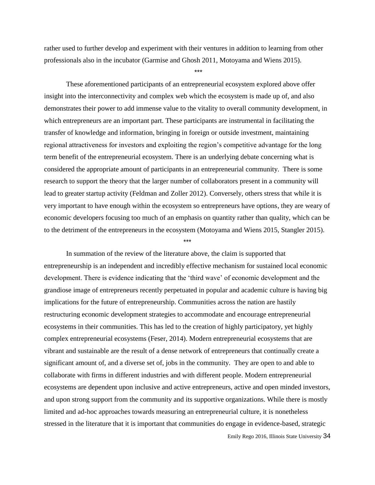rather used to further develop and experiment with their ventures in addition to learning from other professionals also in the incubator (Garmise and Ghosh 2011, Motoyama and Wiens 2015).

\*\*\*

These aforementioned participants of an entrepreneurial ecosystem explored above offer insight into the interconnectivity and complex web which the ecosystem is made up of, and also demonstrates their power to add immense value to the vitality to overall community development, in which entrepreneurs are an important part. These participants are instrumental in facilitating the transfer of knowledge and information, bringing in foreign or outside investment, maintaining regional attractiveness for investors and exploiting the region's competitive advantage for the long term benefit of the entrepreneurial ecosystem. There is an underlying debate concerning what is considered the appropriate amount of participants in an entrepreneurial community. There is some research to support the theory that the larger number of collaborators present in a community will lead to greater startup activity (Feldman and Zoller 2012). Conversely, others stress that while it is very important to have enough within the ecosystem so entrepreneurs have options, they are weary of economic developers focusing too much of an emphasis on quantity rather than quality, which can be to the detriment of the entrepreneurs in the ecosystem (Motoyama and Wiens 2015, Stangler 2015).

\*\*\*

In summation of the review of the literature above, the claim is supported that entrepreneurship is an independent and incredibly effective mechanism for sustained local economic development. There is evidence indicating that the 'third wave' of economic development and the grandiose image of entrepreneurs recently perpetuated in popular and academic culture is having big implications for the future of entrepreneurship. Communities across the nation are hastily restructuring economic development strategies to accommodate and encourage entrepreneurial ecosystems in their communities. This has led to the creation of highly participatory, yet highly complex entrepreneurial ecosystems (Feser, 2014). Modern entrepreneurial ecosystems that are vibrant and sustainable are the result of a dense network of entrepreneurs that continually create a significant amount of, and a diverse set of, jobs in the community. They are open to and able to collaborate with firms in different industries and with different people. Modern entrepreneurial ecosystems are dependent upon inclusive and active entrepreneurs, active and open minded investors, and upon strong support from the community and its supportive organizations. While there is mostly limited and ad-hoc approaches towards measuring an entrepreneurial culture, it is nonetheless stressed in the literature that it is important that communities do engage in evidence-based, strategic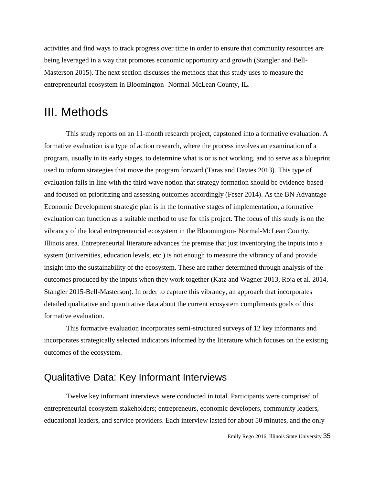activities and find ways to track progress over time in order to ensure that community resources are being leveraged in a way that promotes economic opportunity and growth (Stangler and Bell-Masterson 2015). The next section discusses the methods that this study uses to measure the entrepreneurial ecosystem in Bloomington- Normal-McLean County, IL.

## III. Methods

This study reports on an 11-month research project, capstoned into a formative evaluation. A formative evaluation is a type of action research, where the process involves an examination of a program, usually in its early stages, to determine what is or is not working, and to serve as a blueprint used to inform strategies that move the program forward (Taras and Davies 2013). This type of evaluation falls in line with the third wave notion that strategy formation should be evidence-based and focused on prioritizing and assessing outcomes accordingly (Feser 2014). As the BN Advantage Economic Development strategic plan is in the formative stages of implementation, a formative evaluation can function as a suitable method to use for this project. The focus of this study is on the vibrancy of the local entrepreneurial ecosystem in the Bloomington- Normal-McLean County, Illinois area. Entrepreneurial literature advances the premise that just inventorying the inputs into a system (universities, education levels, etc.) is not enough to measure the vibrancy of and provide insight into the sustainability of the ecosystem. These are rather determined through analysis of the outcomes produced by the inputs when they work together (Katz and Wagner 2013, Roja et al. 2014, Stangler 2015-Bell-Masterson). In order to capture this vibrancy, an approach that incorporates detailed qualitative and quantitative data about the current ecosystem compliments goals of this formative evaluation.

This formative evaluation incorporates semi-structured surveys of 12 key informants and incorporates strategically selected indicators informed by the literature which focuses on the existing outcomes of the ecosystem.

## Qualitative Data: Key Informant Interviews

Twelve key informant interviews were conducted in total. Participants were comprised of entrepreneurial ecosystem stakeholders; entrepreneurs, economic developers, community leaders, educational leaders, and service providers. Each interview lasted for about 50 minutes, and the only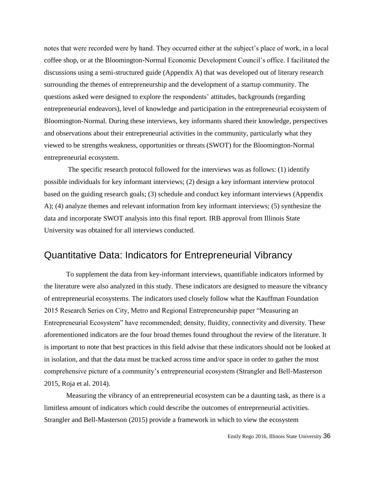notes that were recorded were by hand. They occurred either at the subject's place of work, in a local coffee shop, or at the Bloomington-Normal Economic Development Council's office. I facilitated the discussions using a semi-structured guide (Appendix A) that was developed out of literary research surrounding the themes of entrepreneurship and the development of a startup community. The questions asked were designed to explore the respondents' attitudes, backgrounds (regarding entrepreneurial endeavors), level of knowledge and participation in the entrepreneurial ecosystem of Bloomington-Normal. During these interviews, key informants shared their knowledge, perspectives and observations about their entrepreneurial activities in the community, particularly what they viewed to be strengths weakness, opportunities or threats (SWOT) for the Bloomington-Normal entrepreneurial ecosystem.

The specific research protocol followed for the interviews was as follows: (1) identify possible individuals for key informant interviews; (2) design a key informant interview protocol based on the guiding research goals; (3) schedule and conduct key informant interviews (Appendix A); (4) analyze themes and relevant information from key informant interviews; (5) synthesize the data and incorporate SWOT analysis into this final report. IRB approval from Illinois State University was obtained for all interviews conducted.

## Quantitative Data: Indicators for Entrepreneurial Vibrancy

To supplement the data from key-informant interviews, quantifiable indicators informed by the literature were also analyzed in this study. These indicators are designed to measure the vibrancy of entrepreneurial ecosystems. The indicators used closely follow what the Kauffman Foundation 2015 Research Series on City, Metro and Regional Entrepreneurship paper "Measuring an Entrepreneurial Ecosystem" have recommended; density, fluidity, connectivity and diversity. These aforementioned indicators are the four broad themes found throughout the review of the literature. It is important to note that best practices in this field advise that these indicators should not be looked at in isolation, and that the data must be tracked across time and/or space in order to gather the most comprehensive picture of a community's entrepreneurial ecosystem (Strangler and Bell-Masterson 2015, Roja et al. 2014).

Measuring the vibrancy of an entrepreneurial ecosystem can be a daunting task, as there is a limitless amount of indicators which could describe the outcomes of entrepreneurial activities. Strangler and Bell-Masterson (2015) provide a framework in which to view the ecosystem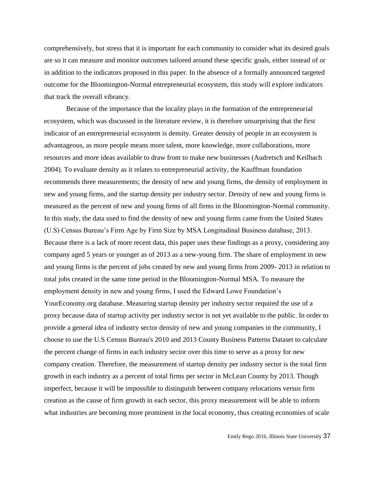comprehensively, but stress that it is important for each community to consider what its desired goals are so it can measure and monitor outcomes tailored around these specific goals, either instead of or in addition to the indicators proposed in this paper. In the absence of a formally announced targeted outcome for the Bloomington-Normal entrepreneurial ecosystem, this study will explore indicators that track the overall vibrancy.

Because of the importance that the locality plays in the formation of the entrepreneurial ecosystem, which was discussed in the literature review, it is therefore unsurprising that the first indicator of an entrepreneurial ecosystem is density. Greater density of people in an ecosystem is advantageous, as more people means more talent, more knowledge, more collaborations, more resources and more ideas available to draw from to make new businesses (Audretsch and Keilbach 2004). To evaluate density as it relates to entrepreneurial activity, the Kauffman foundation recommends three measurements; the density of new and young firms, the density of employment in new and young firms, and the startup density per industry sector. Density of new and young firms is measured as the percent of new and young firms of all firms in the Bloomington-Normal community. In this study, the data used to find the density of new and young firms came from the United States (U.S) Census Bureau's Firm Age by Firm Size by MSA Longitudinal Business database, 2013. Because there is a lack of more recent data, this paper uses these findings as a proxy, considering any company aged 5 years or younger as of 2013 as a new-young firm. The share of employment in new and young firms is the percent of jobs created by new and young firms from 2009- 2013 in relation to total jobs created in the same time period in the Bloomington-Normal MSA. To measure the employment density in new and young firms, I used the Edward Lowe Foundation's YourEconomy.org database. Measuring startup density per industry sector required the use of a proxy because data of startup activity per industry sector is not yet available to the public. In order to provide a general idea of industry sector density of new and young companies in the community, I choose to use the U.S Census Bureau's 2010 and 2013 County Business Patterns Dataset to calculate the percent change of firms in each industry sector over this time to serve as a proxy for new company creation. Therefore, the measurement of startup density per industry sector is the total firm growth in each industry as a percent of total firms per sector in McLean County by 2013. Though imperfect, because it will be impossible to distinguish between company relocations versus firm creation as the cause of firm growth in each sector, this proxy measurement will be able to inform what industries are becoming more prominent in the local economy, thus creating economies of scale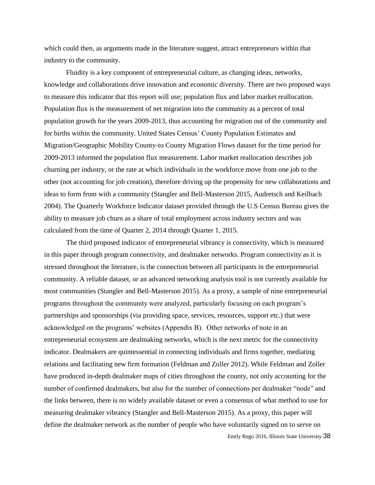which could then, as arguments made in the literature suggest, attract entrepreneurs within that industry to the community.

Fluidity is a key component of entrepreneurial culture, as changing ideas, networks, knowledge and collaborations drive innovation and economic diversity. There are two proposed ways to measure this indicator that this report will use; population flux and labor market reallocation. Population flux is the measurement of net migration into the community as a percent of total population growth for the years 2009-2013, thus accounting for migration out of the community and for births within the community. United States Census' County Population Estimates and Migration/Geographic Mobility County-to County Migration Flows dataset for the time period for 2009-2013 informed the population flux measurement. Labor market reallocation describes job churning per industry, or the rate at which individuals in the workforce move from one job to the other (not accounting for job creation), therefore driving up the propensity for new collaborations and ideas to form from with a community (Stangler and Bell-Masterson 2015, Audretsch and Keilbach 2004). The Quarterly Workforce Indicator dataset provided through the U.S Census Bureau gives the ability to measure job churn as a share of total employment across industry sectors and was calculated from the time of Quarter 2, 2014 through Quarter 1, 2015.

The third proposed indicator of entrepreneurial vibrancy is connectivity, which is measured in this paper through program connectivity, and dealmaker networks. Program connectivity as it is stressed throughout the literature, is the connection between all participants in the entrepreneurial community. A reliable dataset, or an advanced networking analysis tool is not currently available for most communities (Stangler and Bell-Masterson 2015). As a proxy, a sample of nine entrepreneurial programs throughout the community were analyzed, particularly focusing on each program's partnerships and sponsorships (via providing space, services, resources, support etc.) that were acknowledged on the programs' websites (Appendix B). Other networks of note in an entrepreneurial ecosystem are dealmaking networks, which is the next metric for the connectivity indicator. Dealmakers are quintessential in connecting individuals and firms together, mediating relations and facilitating new firm formation (Feldman and Zoller 2012). While Feldman and Zoller have produced in-depth dealmaker maps of cities throughout the county, not only accounting for the number of confirmed dealmakers, but also for the number of connections per dealmaker "node" and the links between, there is no widely available dataset or even a consensus of what method to use for measuring dealmaker vibrancy (Stangler and Bell-Masterson 2015). As a proxy, this paper will define the dealmaker network as the number of people who have voluntarily signed on to serve on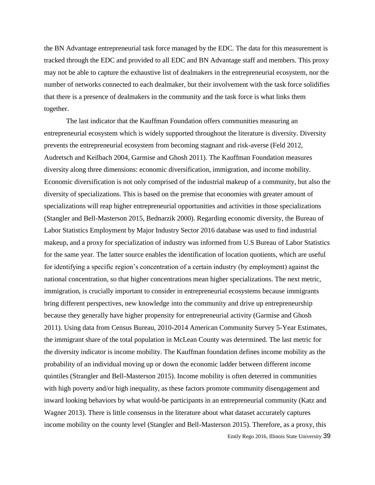the BN Advantage entrepreneurial task force managed by the EDC. The data for this measurement is tracked through the EDC and provided to all EDC and BN Advantage staff and members. This proxy may not be able to capture the exhaustive list of dealmakers in the entrepreneurial ecosystem, nor the number of networks connected to each dealmaker, but their involvement with the task force solidifies that there is a presence of dealmakers in the community and the task force is what links them together.

Emily Rego 2016, Illinois State University 39 The last indicator that the Kauffman Foundation offers communities measuring an entrepreneurial ecosystem which is widely supported throughout the literature is diversity. Diversity prevents the entrepreneurial ecosystem from becoming stagnant and risk-averse (Feld 2012, Audretsch and Keilbach 2004, Garmise and Ghosh 2011). The Kauffman Foundation measures diversity along three dimensions: economic diversification, immigration, and income mobility. Economic diversification is not only comprised of the industrial makeup of a community, but also the diversity of specializations. This is based on the premise that economies with greater amount of specializations will reap higher entrepreneurial opportunities and activities in those specializations (Stangler and Bell-Masterson 2015, Bednarzik 2000). Regarding economic diversity, the Bureau of Labor Statistics Employment by Major Industry Sector 2016 database was used to find industrial makeup, and a proxy for specialization of industry was informed from U.S Bureau of Labor Statistics for the same year. The latter source enables the identification of location quotients, which are useful for identifying a specific region's concentration of a certain industry (by employment) against the national concentration, so that higher concentrations mean higher specializations. The next metric, immigration, is crucially important to consider in entrepreneurial ecosystems because immigrants bring different perspectives, new knowledge into the community and drive up entrepreneurship because they generally have higher propensity for entrepreneurial activity (Garmise and Ghosh 2011). Using data from Census Bureau, 2010-2014 American Community Survey 5-Year Estimates, the immigrant share of the total population in McLean County was determined. The last metric for the diversity indicator is income mobility. The Kauffman foundation defines income mobility as the probability of an individual moving up or down the economic ladder between different income quintiles (Strangler and Bell-Masterson 2015). Income mobility is often deterred in communities with high poverty and/or high inequality, as these factors promote community disengagement and inward looking behaviors by what would-be participants in an entrepreneurial community (Katz and Wagner 2013). There is little consensus in the literature about what dataset accurately captures income mobility on the county level (Stangler and Bell-Masterson 2015). Therefore, as a proxy, this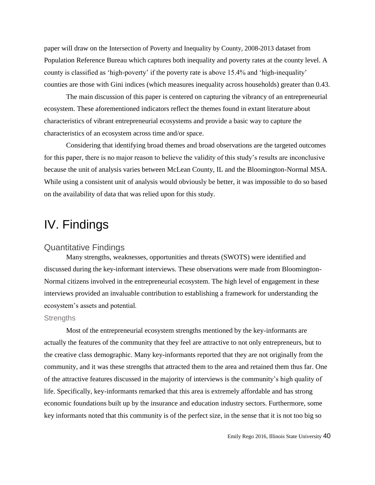paper will draw on the Intersection of Poverty and Inequality by County, 2008-2013 dataset from Population Reference Bureau which captures both inequality and poverty rates at the county level. A county is classified as 'high-poverty' if the poverty rate is above 15.4% and 'high-inequality' counties are those with Gini indices (which measures inequality across households) greater than 0.43.

The main discussion of this paper is centered on capturing the vibrancy of an entrepreneurial ecosystem. These aforementioned indicators reflect the themes found in extant literature about characteristics of vibrant entrepreneurial ecosystems and provide a basic way to capture the characteristics of an ecosystem across time and/or space.

Considering that identifying broad themes and broad observations are the targeted outcomes for this paper, there is no major reason to believe the validity of this study's results are inconclusive because the unit of analysis varies between McLean County, IL and the Bloomington-Normal MSA. While using a consistent unit of analysis would obviously be better, it was impossible to do so based on the availability of data that was relied upon for this study.

# IV. Findings

## Quantitative Findings

Many strengths, weaknesses, opportunities and threats (SWOTS) were identified and discussed during the key-informant interviews. These observations were made from Bloomington-Normal citizens involved in the entrepreneurial ecosystem. The high level of engagement in these interviews provided an invaluable contribution to establishing a framework for understanding the ecosystem's assets and potential.

#### **Strengths**

Most of the entrepreneurial ecosystem strengths mentioned by the key-informants are actually the features of the community that they feel are attractive to not only entrepreneurs, but to the creative class demographic. Many key-informants reported that they are not originally from the community, and it was these strengths that attracted them to the area and retained them thus far. One of the attractive features discussed in the majority of interviews is the community's high quality of life. Specifically, key-informants remarked that this area is extremely affordable and has strong economic foundations built up by the insurance and education industry sectors. Furthermore, some key informants noted that this community is of the perfect size, in the sense that it is not too big so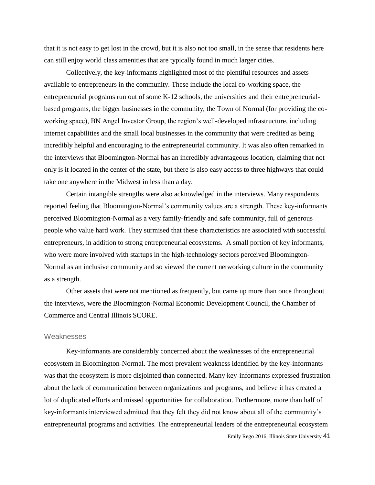that it is not easy to get lost in the crowd, but it is also not too small, in the sense that residents here can still enjoy world class amenities that are typically found in much larger cities.

Collectively, the key-informants highlighted most of the plentiful resources and assets available to entrepreneurs in the community. These include the local co-working space, the entrepreneurial programs run out of some K-12 schools, the universities and their entrepreneurialbased programs, the bigger businesses in the community, the Town of Normal (for providing the coworking space), BN Angel Investor Group, the region's well-developed infrastructure, including internet capabilities and the small local businesses in the community that were credited as being incredibly helpful and encouraging to the entrepreneurial community. It was also often remarked in the interviews that Bloomington-Normal has an incredibly advantageous location, claiming that not only is it located in the center of the state, but there is also easy access to three highways that could take one anywhere in the Midwest in less than a day.

Certain intangible strengths were also acknowledged in the interviews. Many respondents reported feeling that Bloomington-Normal's community values are a strength. These key-informants perceived Bloomington-Normal as a very family-friendly and safe community, full of generous people who value hard work. They surmised that these characteristics are associated with successful entrepreneurs, in addition to strong entrepreneurial ecosystems. A small portion of key informants, who were more involved with startups in the high-technology sectors perceived Bloomington-Normal as an inclusive community and so viewed the current networking culture in the community as a strength.

Other assets that were not mentioned as frequently, but came up more than once throughout the interviews, were the Bloomington-Normal Economic Development Council, the Chamber of Commerce and Central Illinois SCORE.

#### Weaknesses

Emily Rego 2016, Illinois State University 41 Key-informants are considerably concerned about the weaknesses of the entrepreneurial ecosystem in Bloomington-Normal. The most prevalent weakness identified by the key-informants was that the ecosystem is more disjointed than connected. Many key-informants expressed frustration about the lack of communication between organizations and programs, and believe it has created a lot of duplicated efforts and missed opportunities for collaboration. Furthermore, more than half of key-informants interviewed admitted that they felt they did not know about all of the community's entrepreneurial programs and activities. The entrepreneurial leaders of the entrepreneurial ecosystem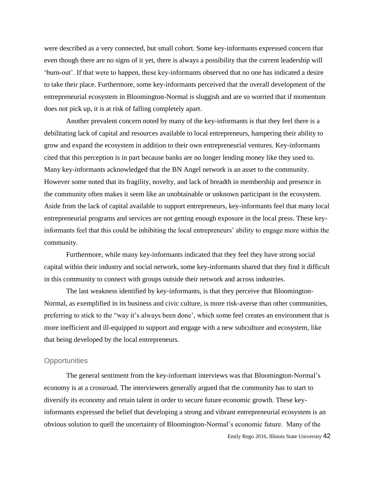were described as a very connected, but small cohort. Some key-informants expressed concern that even though there are no signs of it yet, there is always a possibility that the current leadership will 'burn-out'. If that were to happen, these key-informants observed that no one has indicated a desire to take their place. Furthermore, some key-informants perceived that the overall development of the entrepreneurial ecosystem in Bloomington-Normal is sluggish and are so worried that if momentum does not pick up, it is at risk of falling completely apart.

Another prevalent concern noted by many of the key-informants is that they feel there is a debilitating lack of capital and resources available to local entrepreneurs, hampering their ability to grow and expand the ecosystem in addition to their own entrepreneurial ventures. Key-informants cited that this perception is in part because banks are no longer lending money like they used to. Many key-informants acknowledged that the BN Angel network is an asset to the community. However some noted that its fragility, novelty, and lack of breadth in membership and presence in the community often makes it seem like an unobtainable or unknown participant in the ecosystem. Aside from the lack of capital available to support entrepreneurs, key-informants feel that many local entrepreneurial programs and services are not getting enough exposure in the local press. These keyinformants feel that this could be inhibiting the local entrepreneurs' ability to engage more within the community.

Furthermore, while many key-informants indicated that they feel they have strong social capital within their industry and social network, some key-informants shared that they find it difficult in this community to connect with groups outside their network and across industries.

The last weakness identified by key-informants, is that they perceive that Bloomington-Normal, as exemplified in its business and civic culture, is more risk-averse than other communities, preferring to stick to the "way it's always been done', which some feel creates an environment that is more inefficient and ill-equipped to support and engage with a new subculture and ecosystem, like that being developed by the local entrepreneurs.

#### **Opportunities**

The general sentiment from the key-informant interviews was that Bloomington-Normal's economy is at a crossroad. The interviewees generally argued that the community has to start to diversify its economy and retain talent in order to secure future economic growth. These keyinformants expressed the belief that developing a strong and vibrant entrepreneurial ecosystem is an obvious solution to quell the uncertainty of Bloomington-Normal's economic future. Many of the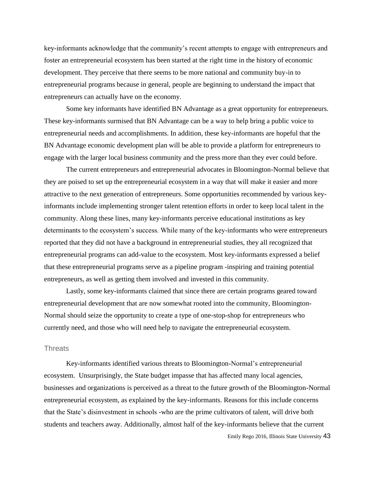key-informants acknowledge that the community's recent attempts to engage with entrepreneurs and foster an entrepreneurial ecosystem has been started at the right time in the history of economic development. They perceive that there seems to be more national and community buy-in to entrepreneurial programs because in general, people are beginning to understand the impact that entrepreneurs can actually have on the economy.

Some key informants have identified BN Advantage as a great opportunity for entrepreneurs. These key-informants surmised that BN Advantage can be a way to help bring a public voice to entrepreneurial needs and accomplishments. In addition, these key-informants are hopeful that the BN Advantage economic development plan will be able to provide a platform for entrepreneurs to engage with the larger local business community and the press more than they ever could before.

The current entrepreneurs and entrepreneurial advocates in Bloomington-Normal believe that they are poised to set up the entrepreneurial ecosystem in a way that will make it easier and more attractive to the next generation of entrepreneurs. Some opportunities recommended by various keyinformants include implementing stronger talent retention efforts in order to keep local talent in the community. Along these lines, many key-informants perceive educational institutions as key determinants to the ecosystem's success. While many of the key-informants who were entrepreneurs reported that they did not have a background in entrepreneurial studies, they all recognized that entrepreneurial programs can add-value to the ecosystem. Most key-informants expressed a belief that these entrepreneurial programs serve as a pipeline program -inspiring and training potential entrepreneurs, as well as getting them involved and invested in this community.

Lastly, some key-informants claimed that since there are certain programs geared toward entrepreneurial development that are now somewhat rooted into the community, Bloomington-Normal should seize the opportunity to create a type of one-stop-shop for entrepreneurs who currently need, and those who will need help to navigate the entrepreneurial ecosystem.

#### **Threats**

Key-informants identified various threats to Bloomington-Normal's entrepreneurial ecosystem. Unsurprisingly, the State budget impasse that has affected many local agencies, businesses and organizations is perceived as a threat to the future growth of the Bloomington-Normal entrepreneurial ecosystem, as explained by the key-informants. Reasons for this include concerns that the State's disinvestment in schools -who are the prime cultivators of talent, will drive both students and teachers away. Additionally, almost half of the key-informants believe that the current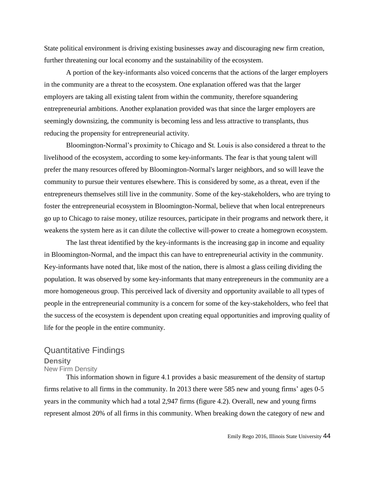State political environment is driving existing businesses away and discouraging new firm creation, further threatening our local economy and the sustainability of the ecosystem.

A portion of the key-informants also voiced concerns that the actions of the larger employers in the community are a threat to the ecosystem. One explanation offered was that the larger employers are taking all existing talent from within the community, therefore squandering entrepreneurial ambitions. Another explanation provided was that since the larger employers are seemingly downsizing, the community is becoming less and less attractive to transplants, thus reducing the propensity for entrepreneurial activity.

Bloomington-Normal's proximity to Chicago and St. Louis is also considered a threat to the livelihood of the ecosystem, according to some key-informants. The fear is that young talent will prefer the many resources offered by Bloomington-Normal's larger neighbors, and so will leave the community to pursue their ventures elsewhere. This is considered by some, as a threat, even if the entrepreneurs themselves still live in the community. Some of the key-stakeholders, who are trying to foster the entrepreneurial ecosystem in Bloomington-Normal, believe that when local entrepreneurs go up to Chicago to raise money, utilize resources, participate in their programs and network there, it weakens the system here as it can dilute the collective will-power to create a homegrown ecosystem.

The last threat identified by the key-informants is the increasing gap in income and equality in Bloomington-Normal, and the impact this can have to entrepreneurial activity in the community. Key-informants have noted that, like most of the nation, there is almost a glass ceiling dividing the population. It was observed by some key-informants that many entrepreneurs in the community are a more homogeneous group. This perceived lack of diversity and opportunity available to all types of people in the entrepreneurial community is a concern for some of the key-stakeholders, who feel that the success of the ecosystem is dependent upon creating equal opportunities and improving quality of life for the people in the entire community.

## Quantitative Findings

## **Density**

## New Firm Density

This information shown in figure 4.1 provides a basic measurement of the density of startup firms relative to all firms in the community. In 2013 there were 585 new and young firms' ages 0-5 years in the community which had a total 2,947 firms (figure 4.2). Overall, new and young firms represent almost 20% of all firms in this community. When breaking down the category of new and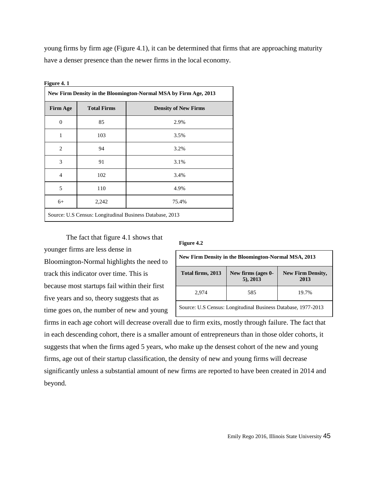young firms by firm age (Figure 4.1), it can be determined that firms that are approaching maturity have a denser presence than the newer firms in the local economy.

| New Firm Density in the Bloomington-Normal MSA by Firm Age, 2013 |                    |                             |  |  |  |
|------------------------------------------------------------------|--------------------|-----------------------------|--|--|--|
| <b>Firm Age</b>                                                  | <b>Total Firms</b> | <b>Density of New Firms</b> |  |  |  |
| $\overline{0}$                                                   | 85                 | 2.9%                        |  |  |  |
| 1                                                                | 103                | 3.5%                        |  |  |  |
| 2                                                                | 94                 | 3.2%                        |  |  |  |
| 3                                                                | 91                 | 3.1%                        |  |  |  |
| $\overline{4}$                                                   | 102                | 3.4%                        |  |  |  |
| 5                                                                | 110                | 4.9%                        |  |  |  |
| $6+$                                                             | 2,242              | 75.4%                       |  |  |  |
| Source: U.S Census: Longitudinal Business Database, 2013         |                    |                             |  |  |  |

**Figure 4. 1** 

## The fact that figure 4.1 shows that

#### **Figure 4.2**

Bloomington-Normal highlights the need to track this indicator over time. This is because most startups fail within their first five years and so, theory suggests that as time goes on, the number of new and young

younger firms are less dense in

| New Firm Density in the Bloomington-Normal MSA, 2013                                       |  |  |  |  |  |  |  |
|--------------------------------------------------------------------------------------------|--|--|--|--|--|--|--|
| New firms (ages 0-<br>Total firms, 2013<br><b>New Firm Density,</b><br>$5)$ , 2013<br>2013 |  |  |  |  |  |  |  |
| 2.974<br>585<br>19.7%                                                                      |  |  |  |  |  |  |  |
| Source: U.S Census: Longitudinal Business Database, 1977-2013                              |  |  |  |  |  |  |  |

firms in each age cohort will decrease overall due to firm exits, mostly through failure. The fact that in each descending cohort, there is a smaller amount of entrepreneurs than in those older cohorts, it suggests that when the firms aged 5 years, who make up the densest cohort of the new and young firms, age out of their startup classification, the density of new and young firms will decrease significantly unless a substantial amount of new firms are reported to have been created in 2014 and beyond.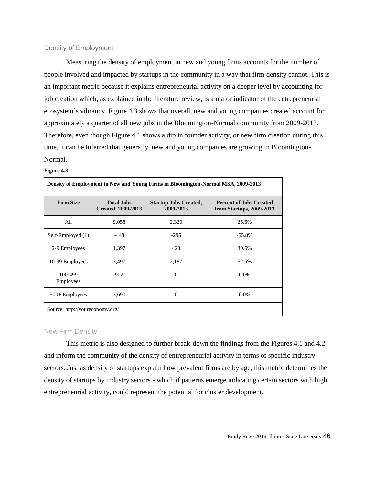#### Density of Employment

Measuring the density of employment in new and young firms accounts for the number of people involved and impacted by startups in the community in a way that firm density cannot. This is an important metric because it explains entrepreneurial activity on a deeper level by accounting for job creation which, as explained in the literature review, is a major indicator of the entrepreneurial ecosystem's vibrancy. Figure 4.3 shows that overall, new and young companies created account for approximately a quarter of all new jobs in the Bloomington-Normal community from 2009-2013. Therefore, even though Figure 4.1 shows a dip in founder activity, or new firm creation during this time, it can be inferred that generally, new and young companies are growing in Bloomington-Normal.

#### **Figure 4.3**

| <b>Firm Size</b>     | <b>Total Jobs</b><br><b>Created, 2009-2013</b> | <b>Startup Jobs Created,</b><br>2009-2013 | <b>Percent of Jobs Created</b><br>from Startups, 2009-2013 |
|----------------------|------------------------------------------------|-------------------------------------------|------------------------------------------------------------|
| All                  | 9,058                                          | 2,320                                     | 25.6%                                                      |
| Self-Employed (1)    | $-448$                                         | $-295$                                    | $-65.8%$                                                   |
| 2-9 Employees        | 1,397                                          | 428                                       | 30.6%                                                      |
| 10-99 Employees      | 3,497                                          | 2,187                                     | 62.5%                                                      |
| 100-499<br>Employees | 922                                            | $\mathbf{0}$                              | $0.0\%$                                                    |
| $500 +$ Employees    | 3,690                                          | $\mathbf{0}$                              | $0.0\%$                                                    |

#### New Firm Density

This metric is also designed to further break-down the findings from the Figures 4.1 and 4.2 and inform the community of the density of entrepreneurial activity in terms of specific industry sectors. Just as density of startups explain how prevalent firms are by age, this metric determines the density of startups by industry sectors - which if patterns emerge indicating certain sectors with high entrepreneurial activity, could represent the potential for cluster development.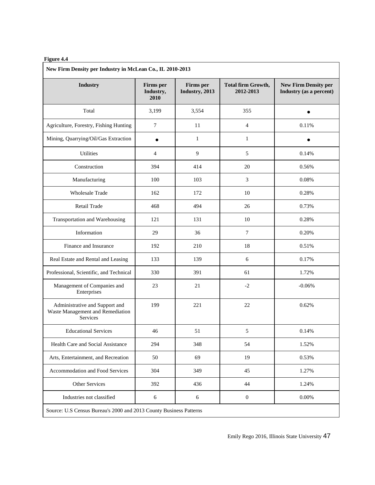#### **Figure 4.4**

| New Firm Density per Industry in McLean Co., IL 2010-2013                      |                                       |                             |                                        |                                                        |  |  |  |
|--------------------------------------------------------------------------------|---------------------------------------|-----------------------------|----------------------------------------|--------------------------------------------------------|--|--|--|
| <b>Industry</b>                                                                | <b>Firms</b> per<br>Industry,<br>2010 | Firms per<br>Industry, 2013 | <b>Total firm Growth,</b><br>2012-2013 | <b>New Firm Density per</b><br>Industry (as a percent) |  |  |  |
| Total                                                                          | 3,199                                 | 3,554                       | 355                                    |                                                        |  |  |  |
| Agriculture, Forestry, Fishing Hunting                                         | $\tau$                                | 11                          | $\overline{4}$                         | 0.11%                                                  |  |  |  |
| Mining, Quarrying/Oil/Gas Extraction                                           | $\bullet$                             | $\mathbf{1}$                | $\mathbf{1}$                           |                                                        |  |  |  |
| <b>Utilities</b>                                                               | $\overline{4}$                        | 9                           | 5                                      | 0.14%                                                  |  |  |  |
| Construction                                                                   | 394                                   | 414                         | 20                                     | 0.56%                                                  |  |  |  |
| Manufacturing                                                                  | 100                                   | 103                         | 3                                      | 0.08%                                                  |  |  |  |
| <b>Wholesale Trade</b>                                                         | 162                                   | 172                         | 10                                     | 0.28%                                                  |  |  |  |
| Retail Trade                                                                   | 468                                   | 494                         | 26                                     | 0.73%                                                  |  |  |  |
| Transportation and Warehousing                                                 | 121                                   | 131                         | 10                                     | 0.28%                                                  |  |  |  |
| Information                                                                    | 29                                    | 36                          | $\tau$                                 | 0.20%                                                  |  |  |  |
| Finance and Insurance                                                          | 192                                   | 210                         | 18                                     | 0.51%                                                  |  |  |  |
| Real Estate and Rental and Leasing                                             | 133                                   | 139                         | 6                                      | 0.17%                                                  |  |  |  |
| Professional, Scientific, and Technical                                        | 330                                   | 391                         | 61                                     | 1.72%                                                  |  |  |  |
| Management of Companies and<br>Enterprises                                     | 23                                    | 21                          | $-2$                                   | $-0.06%$                                               |  |  |  |
| Administrative and Support and<br>Waste Management and Remediation<br>Services | 199                                   | 221                         | 22                                     | 0.62%                                                  |  |  |  |
| <b>Educational Services</b>                                                    | 46                                    | 51                          | 5                                      | 0.14%                                                  |  |  |  |
| Health Care and Social Assistance                                              | 294                                   | 348                         | 54                                     | 1.52%                                                  |  |  |  |
| Arts, Entertainment, and Recreation                                            | 50                                    | 69                          | 19                                     | 0.53%                                                  |  |  |  |
| Accommodation and Food Services                                                | 304                                   | 349                         | 45                                     | 1.27%                                                  |  |  |  |
| Other Services                                                                 | 392                                   | 436                         | 44                                     | 1.24%                                                  |  |  |  |
| Industries not classified                                                      | $\sqrt{6}$                            | 6                           | $\boldsymbol{0}$                       | 0.00%                                                  |  |  |  |
| Source: U.S Census Bureau's 2000 and 2013 County Business Patterns             |                                       |                             |                                        |                                                        |  |  |  |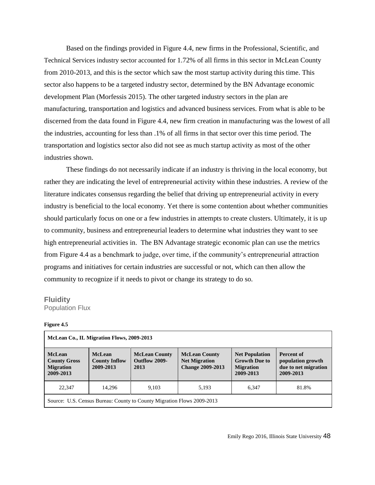Based on the findings provided in Figure 4.4, new firms in the Professional, Scientific, and Technical Services industry sector accounted for 1.72% of all firms in this sector in McLean County from 2010-2013, and this is the sector which saw the most startup activity during this time. This sector also happens to be a targeted industry sector, determined by the BN Advantage economic development Plan (Morfessis 2015). The other targeted industry sectors in the plan are manufacturing, transportation and logistics and advanced business services. From what is able to be discerned from the data found in Figure 4.4, new firm creation in manufacturing was the lowest of all the industries, accounting for less than .1% of all firms in that sector over this time period. The transportation and logistics sector also did not see as much startup activity as most of the other industries shown.

These findings do not necessarily indicate if an industry is thriving in the local economy, but rather they are indicating the level of entrepreneurial activity within these industries. A review of the literature indicates consensus regarding the belief that driving up entrepreneurial activity in every industry is beneficial to the local economy. Yet there is some contention about whether communities should particularly focus on one or a few industries in attempts to create clusters. Ultimately, it is up to community, business and entrepreneurial leaders to determine what industries they want to see high entrepreneurial activities in. The BN Advantage strategic economic plan can use the metrics from Figure 4.4 as a benchmark to judge, over time, if the community's entrepreneurial attraction programs and initiatives for certain industries are successful or not, which can then allow the community to recognize if it needs to pivot or change its strategy to do so.

#### **Fluidity**

Population Flux

#### **Figure 4.5**

| McLean Co., IL Migration Flows, 2009-2013                              |                                                    |                                               |                                                                         |                                                                                |                                                                      |  |
|------------------------------------------------------------------------|----------------------------------------------------|-----------------------------------------------|-------------------------------------------------------------------------|--------------------------------------------------------------------------------|----------------------------------------------------------------------|--|
| <b>McLean</b><br><b>County Gross</b><br><b>Migration</b><br>2009-2013  | <b>McLean</b><br><b>County Inflow</b><br>2009-2013 | <b>McLean County</b><br>Outflow 2009-<br>2013 | <b>McLean County</b><br><b>Net Migration</b><br><b>Change 2009-2013</b> | <b>Net Population</b><br><b>Growth Due to</b><br><b>Migration</b><br>2009-2013 | Percent of<br>population growth<br>due to net migration<br>2009-2013 |  |
| 22,347<br>14.296<br>9.103<br>6.347<br>81.8%<br>5,193                   |                                                    |                                               |                                                                         |                                                                                |                                                                      |  |
| Source: U.S. Census Bureau: County to County Migration Flows 2009-2013 |                                                    |                                               |                                                                         |                                                                                |                                                                      |  |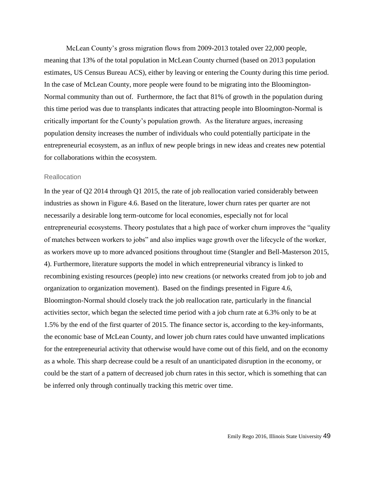McLean County's gross migration flows from 2009-2013 totaled over 22,000 people, meaning that 13% of the total population in McLean County churned (based on 2013 population estimates, US Census Bureau ACS), either by leaving or entering the County during this time period. In the case of McLean County, more people were found to be migrating into the Bloomington-Normal community than out of. Furthermore, the fact that 81% of growth in the population during this time period was due to transplants indicates that attracting people into Bloomington-Normal is critically important for the County's population growth. As the literature argues, increasing population density increases the number of individuals who could potentially participate in the entrepreneurial ecosystem, as an influx of new people brings in new ideas and creates new potential for collaborations within the ecosystem.

#### **Reallocation**

In the year of Q2 2014 through Q1 2015, the rate of job reallocation varied considerably between industries as shown in Figure 4.6. Based on the literature, lower churn rates per quarter are not necessarily a desirable long term-outcome for local economies, especially not for local entrepreneurial ecosystems. Theory postulates that a high pace of worker churn improves the "quality of matches between workers to jobs" and also implies wage growth over the lifecycle of the worker, as workers move up to more advanced positions throughout time (Stangler and Bell-Masterson 2015, 4). Furthermore, literature supports the model in which entrepreneurial vibrancy is linked to recombining existing resources (people) into new creations (or networks created from job to job and organization to organization movement). Based on the findings presented in Figure 4.6, Bloomington-Normal should closely track the job reallocation rate, particularly in the financial activities sector, which began the selected time period with a job churn rate at 6.3% only to be at 1.5% by the end of the first quarter of 2015. The finance sector is, according to the key-informants, the economic base of McLean County, and lower job churn rates could have unwanted implications for the entrepreneurial activity that otherwise would have come out of this field, and on the economy as a whole. This sharp decrease could be a result of an unanticipated disruption in the economy, or could be the start of a pattern of decreased job churn rates in this sector, which is something that can be inferred only through continually tracking this metric over time.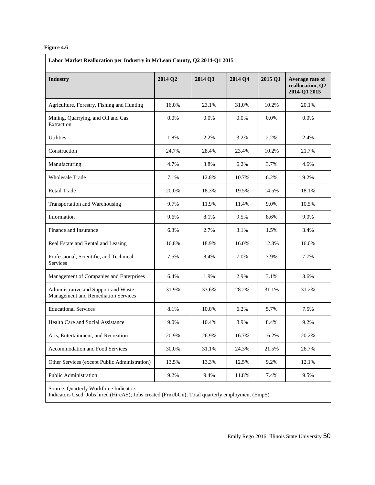#### **Figure 4.6**

| <b>Industry</b>                                                             | 2014 Q2 | 2014 Q3 | 2014 Q4 | 2015 Q1 | Average rate of<br>reallocation, Q2<br>2014-Q1 2015 |  |
|-----------------------------------------------------------------------------|---------|---------|---------|---------|-----------------------------------------------------|--|
| Agriculture, Forestry, Fishing and Hunting                                  | 16.0%   | 23.1%   | 31.0%   | 10.2%   | 20.1%                                               |  |
| Mining, Quarrying, and Oil and Gas<br>Extraction                            | 0.0%    | 0.0%    | $0.0\%$ | 0.0%    | $0.0\%$                                             |  |
| Utilities                                                                   | 1.8%    | 2.2%    | 3.2%    | 2.2%    | 2.4%                                                |  |
| Construction                                                                | 24.7%   | 28.4%   | 23.4%   | 10.2%   | 21.7%                                               |  |
| Manufacturing                                                               | 4.7%    | 3.8%    | 6.2%    | 3.7%    | 4.6%                                                |  |
| <b>Wholesale Trade</b>                                                      | 7.1%    | 12.8%   | 10.7%   | 6.2%    | 9.2%                                                |  |
| <b>Retail Trade</b>                                                         | 20.0%   | 18.3%   | 19.5%   | 14.5%   | 18.1%                                               |  |
| Transportation and Warehousing                                              | 9.7%    | 11.9%   | 11.4%   | 9.0%    | 10.5%                                               |  |
| Information                                                                 | 9.6%    | 8.1%    | 9.5%    | 8.6%    | 9.0%                                                |  |
| Finance and Insurance                                                       | 6.3%    | 2.7%    | 3.1%    | 1.5%    | 3.4%                                                |  |
| Real Estate and Rental and Leasing                                          | 16.8%   | 18.9%   | 16.0%   | 12.3%   | 16.0%                                               |  |
| Professional, Scientific, and Technical<br>Services                         | 7.5%    | 8.4%    | 7.0%    | 7.9%    | 7.7%                                                |  |
| Management of Companies and Enterprises                                     | 6.4%    | 1.9%    | 2.9%    | 3.1%    | 3.6%                                                |  |
| Administrative and Support and Waste<br>Management and Remediation Services | 31.9%   | 33.6%   | 28.2%   | 31.1%   | 31.2%                                               |  |
| <b>Educational Services</b>                                                 | 8.1%    | 10.0%   | 6.2%    | 5.7%    | 7.5%                                                |  |
| Health Care and Social Assistance                                           | 9.0%    | 10.4%   | 8.9%    | 8.4%    | 9.2%                                                |  |
| Arts, Entertainment, and Recreation                                         | 20.9%   | 26.9%   | 16.7%   | 16.2%   | 20.2%                                               |  |
| Accommodation and Food Services                                             | 30.0%   | 31.1%   | 24.3%   | 21.5%   | 26.7%                                               |  |
| Other Services (except Public Administration)                               | 13.5%   | 13.3%   | 12.5%   | 9.2%    | 12.1%                                               |  |
| Public Administration                                                       | 9.2%    | 9.4%    | 11.8%   | 7.4%    | 9.5%                                                |  |

Indicators Used: Jobs hired (HireAS); Jobs created (FrmJbGn); Total quarterly employment (EmpS)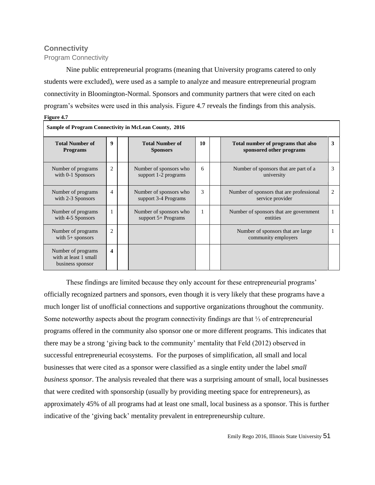## **Connectivity**

Program Connectivity

Nine public entrepreneurial programs (meaning that University programs catered to only students were excluded), were used as a sample to analyze and measure entrepreneurial program connectivity in Bloomington-Normal. Sponsors and community partners that were cited on each program's websites were used in this analysis. Figure 4.7 reveals the findings from this analysis. **Figure 4.7**

| <b>Sample of Program Connectivity in McLean County, 2016</b>    |                  |  |                                                 |              |  |                                                                |   |  |
|-----------------------------------------------------------------|------------------|--|-------------------------------------------------|--------------|--|----------------------------------------------------------------|---|--|
| <b>Total Number of</b><br><b>Programs</b>                       | 9                |  | <b>Total Number of</b><br><b>Sponsors</b>       | 10           |  | Total number of programs that also<br>sponsored other programs | 3 |  |
| Number of programs<br>with 0-1 Sponsors                         | $\overline{c}$   |  | Number of sponsors who<br>support 1-2 programs  | 6            |  | Number of sponsors that are part of a<br>university            | 3 |  |
| Number of programs<br>with 2-3 Sponsors                         | $\overline{4}$   |  | Number of sponsors who<br>support 3-4 Programs  | 3            |  | Number of sponsors that are professional<br>service provider   | 2 |  |
| Number of programs<br>with 4-5 Sponsors                         | 1                |  | Number of sponsors who<br>support $5+$ Programs | $\mathbf{1}$ |  | Number of sponsors that are government<br>entities             | 1 |  |
| Number of programs<br>with $5+$ sponsors                        | $\overline{2}$   |  |                                                 |              |  | Number of sponsors that are large<br>community employers       |   |  |
| Number of programs<br>with at least 1 small<br>business sponsor | $\boldsymbol{4}$ |  |                                                 |              |  |                                                                |   |  |

These findings are limited because they only account for these entrepreneurial programs' officially recognized partners and sponsors, even though it is very likely that these programs have a much longer list of unofficial connections and supportive organizations throughout the community. Some noteworthy aspects about the program connectivity findings are that ⅓ of entrepreneurial programs offered in the community also sponsor one or more different programs. This indicates that there may be a strong 'giving back to the community' mentality that Feld (2012) observed in successful entrepreneurial ecosystems. For the purposes of simplification, all small and local businesses that were cited as a sponsor were classified as a single entity under the label *small business sponsor*. The analysis revealed that there was a surprising amount of small, local businesses that were credited with sponsorship (usually by providing meeting space for entrepreneurs), as approximately 45% of all programs had at least one small, local business as a sponsor. This is further indicative of the 'giving back' mentality prevalent in entrepreneurship culture.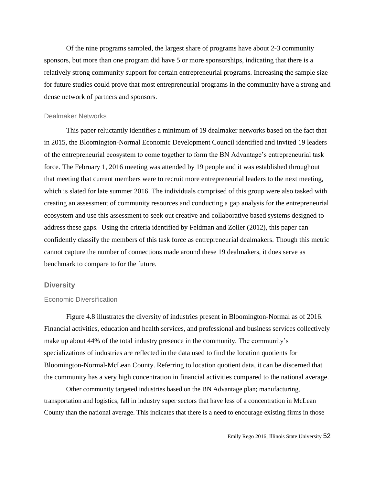Of the nine programs sampled, the largest share of programs have about 2-3 community sponsors, but more than one program did have 5 or more sponsorships, indicating that there is a relatively strong community support for certain entrepreneurial programs. Increasing the sample size for future studies could prove that most entrepreneurial programs in the community have a strong and dense network of partners and sponsors.

#### Dealmaker Networks

This paper reluctantly identifies a minimum of 19 dealmaker networks based on the fact that in 2015, the Bloomington-Normal Economic Development Council identified and invited 19 leaders of the entrepreneurial ecosystem to come together to form the BN Advantage's entrepreneurial task force. The February 1, 2016 meeting was attended by 19 people and it was established throughout that meeting that current members were to recruit more entrepreneurial leaders to the next meeting, which is slated for late summer 2016. The individuals comprised of this group were also tasked with creating an assessment of community resources and conducting a gap analysis for the entrepreneurial ecosystem and use this assessment to seek out creative and collaborative based systems designed to address these gaps. Using the criteria identified by Feldman and Zoller (2012), this paper can confidently classify the members of this task force as entrepreneurial dealmakers. Though this metric cannot capture the number of connections made around these 19 dealmakers, it does serve as benchmark to compare to for the future.

#### **Diversity**

#### Economic Diversification

Figure 4.8 illustrates the diversity of industries present in Bloomington-Normal as of 2016. Financial activities, education and health services, and professional and business services collectively make up about 44% of the total industry presence in the community. The community's specializations of industries are reflected in the data used to find the location quotients for Bloomington-Normal-McLean County. Referring to location quotient data, it can be discerned that the community has a very high concentration in financial activities compared to the national average.

Other community targeted industries based on the BN Advantage plan; manufacturing, transportation and logistics, fall in industry super sectors that have less of a concentration in McLean County than the national average. This indicates that there is a need to encourage existing firms in those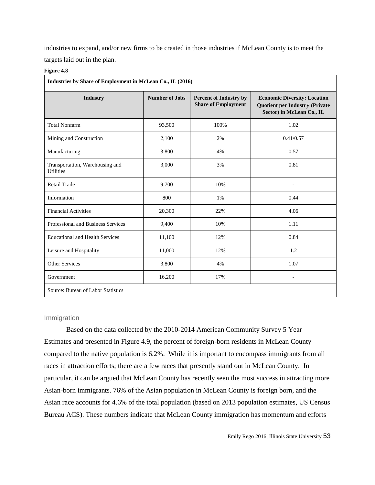industries to expand, and/or new firms to be created in those industries if McLean County is to meet the targets laid out in the plan.

#### **Figure 4.8**

| Industries by Share of Employment in McLean Co., IL (2016) |                                                                                      |       |                                                                                                           |  |  |  |  |
|------------------------------------------------------------|--------------------------------------------------------------------------------------|-------|-----------------------------------------------------------------------------------------------------------|--|--|--|--|
| <b>Industry</b>                                            | <b>Number of Jobs</b><br><b>Percent of Industry by</b><br><b>Share of Employment</b> |       | <b>Economic Diversity: Location</b><br><b>Quotient per Industry (Private</b><br>Sector) in McLean Co., IL |  |  |  |  |
| <b>Total Nonfarm</b>                                       | 93,500                                                                               | 100%  | 1.02                                                                                                      |  |  |  |  |
| Mining and Construction                                    | 2,100                                                                                | 2%    | 0.41/0.57                                                                                                 |  |  |  |  |
| Manufacturing                                              | 3,800                                                                                | 4%    | 0.57                                                                                                      |  |  |  |  |
| Transportation, Warehousing and<br><b>Utilities</b>        | 3,000                                                                                | 3%    | 0.81                                                                                                      |  |  |  |  |
| <b>Retail Trade</b>                                        | 9,700                                                                                | 10%   |                                                                                                           |  |  |  |  |
| Information                                                | 800                                                                                  | $1\%$ | 0.44                                                                                                      |  |  |  |  |
| <b>Financial Activities</b>                                | 20,300                                                                               | 22%   | 4.06                                                                                                      |  |  |  |  |
| Professional and Business Services                         | 9,400                                                                                | 10%   | 1.11                                                                                                      |  |  |  |  |
| <b>Educational and Health Services</b>                     | 11,100                                                                               | 12%   | 0.84                                                                                                      |  |  |  |  |
| Leisure and Hospitality                                    | 11,000                                                                               | 12%   | 1.2                                                                                                       |  |  |  |  |
| <b>Other Services</b>                                      | 3,800                                                                                | 4%    | 1.07                                                                                                      |  |  |  |  |
| Government                                                 | 16,200                                                                               | 17%   |                                                                                                           |  |  |  |  |
| Source: Bureau of Labor Statistics                         |                                                                                      |       |                                                                                                           |  |  |  |  |

#### Immigration

Based on the data collected by the 2010-2014 American Community Survey 5 Year Estimates and presented in Figure 4.9, the percent of foreign-born residents in McLean County compared to the native population is 6.2%. While it is important to encompass immigrants from all races in attraction efforts; there are a few races that presently stand out in McLean County. In particular, it can be argued that McLean County has recently seen the most success in attracting more Asian-born immigrants. 76% of the Asian population in McLean County is foreign born, and the Asian race accounts for 4.6% of the total population (based on 2013 population estimates, US Census Bureau ACS). These numbers indicate that McLean County immigration has momentum and efforts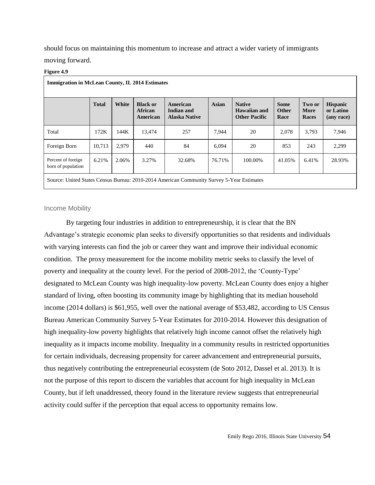should focus on maintaining this momentum to increase and attract a wider variety of immigrants moving forward.

#### **Figure 4.9**

| <b>Immigration in McLean County, IL 2014 Estimates</b>                                    |              |       |                                               |                                                |        |                                                       |                                     |                         |                                            |
|-------------------------------------------------------------------------------------------|--------------|-------|-----------------------------------------------|------------------------------------------------|--------|-------------------------------------------------------|-------------------------------------|-------------------------|--------------------------------------------|
|                                                                                           | <b>Total</b> | White | <b>Black or</b><br><b>African</b><br>American | American<br>Indian and<br><b>Alaska Native</b> | Asian  | <b>Native</b><br>Hawaiian and<br><b>Other Pacific</b> | <b>Some</b><br><b>Other</b><br>Race | Two or<br>More<br>Races | <b>Hispanic</b><br>or Latino<br>(any race) |
| Total                                                                                     | 172K         | 144K  | 13,474                                        | 257                                            | 7,944  | 20                                                    | 2,078                               | 3,793                   | 7,946                                      |
| Foreign Born                                                                              | 10.713       | 2.979 | 440                                           | 84                                             | 6.094  | 20                                                    | 853                                 | 243                     | 2,299                                      |
| Percent of foreign<br>born of population                                                  | 6.21%        | 2.06% | 3.27%                                         | 32.68%                                         | 76.71% | 100.00%                                               | 41.05%                              | 6.41%                   | 28.93%                                     |
| Source: United States Census Bureau: 2010-2014 American Community Survey 5-Year Estimates |              |       |                                               |                                                |        |                                                       |                                     |                         |                                            |

#### Income Mobility

By targeting four industries in addition to entrepreneurship, it is clear that the BN Advantage's strategic economic plan seeks to diversify opportunities so that residents and individuals with varying interests can find the job or career they want and improve their individual economic condition. The proxy measurement for the income mobility metric seeks to classify the level of poverty and inequality at the county level. For the period of 2008-2012, the 'County-Type' designated to McLean County was high inequality-low poverty. McLean County does enjoy a higher standard of living, often boosting its community image by highlighting that its median household income (2014 dollars) is \$61,955, well over the national average of \$53,482, according to US Census Bureau American Community Survey 5-Year Estimates for 2010-2014. However this designation of high inequality-low poverty highlights that relatively high income cannot offset the relatively high inequality as it impacts income mobility. Inequality in a community results in restricted opportunities for certain individuals, decreasing propensity for career advancement and entrepreneurial pursuits, thus negatively contributing the entrepreneurial ecosystem (de Soto 2012, Dassel et al. 2013). It is not the purpose of this report to discern the variables that account for high inequality in McLean County, but if left unaddressed, theory found in the literature review suggests that entrepreneurial activity could suffer if the perception that equal access to opportunity remains low.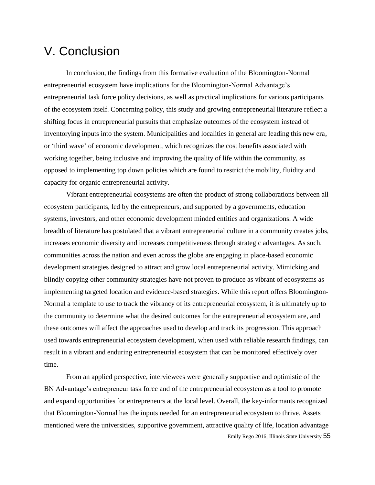# V. Conclusion

In conclusion, the findings from this formative evaluation of the Bloomington-Normal entrepreneurial ecosystem have implications for the Bloomington-Normal Advantage's entrepreneurial task force policy decisions, as well as practical implications for various participants of the ecosystem itself. Concerning policy, this study and growing entrepreneurial literature reflect a shifting focus in entrepreneurial pursuits that emphasize outcomes of the ecosystem instead of inventorying inputs into the system. Municipalities and localities in general are leading this new era, or 'third wave' of economic development, which recognizes the cost benefits associated with working together, being inclusive and improving the quality of life within the community, as opposed to implementing top down policies which are found to restrict the mobility, fluidity and capacity for organic entrepreneurial activity.

Vibrant entrepreneurial ecosystems are often the product of strong collaborations between all ecosystem participants, led by the entrepreneurs, and supported by a governments, education systems, investors, and other economic development minded entities and organizations. A wide breadth of literature has postulated that a vibrant entrepreneurial culture in a community creates jobs, increases economic diversity and increases competitiveness through strategic advantages. As such, communities across the nation and even across the globe are engaging in place-based economic development strategies designed to attract and grow local entrepreneurial activity. Mimicking and blindly copying other community strategies have not proven to produce as vibrant of ecosystems as implementing targeted location and evidence-based strategies. While this report offers Bloomington-Normal a template to use to track the vibrancy of its entrepreneurial ecosystem, it is ultimately up to the community to determine what the desired outcomes for the entrepreneurial ecosystem are, and these outcomes will affect the approaches used to develop and track its progression. This approach used towards entrepreneurial ecosystem development, when used with reliable research findings, can result in a vibrant and enduring entrepreneurial ecosystem that can be monitored effectively over time.

Emily Rego 2016, Illinois State University 55 From an applied perspective, interviewees were generally supportive and optimistic of the BN Advantage's entrepreneur task force and of the entrepreneurial ecosystem as a tool to promote and expand opportunities for entrepreneurs at the local level. Overall, the key-informants recognized that Bloomington-Normal has the inputs needed for an entrepreneurial ecosystem to thrive. Assets mentioned were the universities, supportive government, attractive quality of life, location advantage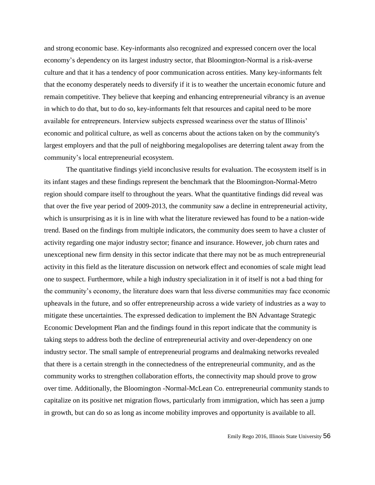and strong economic base. Key-informants also recognized and expressed concern over the local economy's dependency on its largest industry sector, that Bloomington-Normal is a risk-averse culture and that it has a tendency of poor communication across entities. Many key-informants felt that the economy desperately needs to diversify if it is to weather the uncertain economic future and remain competitive. They believe that keeping and enhancing entrepreneurial vibrancy is an avenue in which to do that, but to do so, key-informants felt that resources and capital need to be more available for entrepreneurs. Interview subjects expressed weariness over the status of Illinois' economic and political culture, as well as concerns about the actions taken on by the community's largest employers and that the pull of neighboring megalopolises are deterring talent away from the community's local entrepreneurial ecosystem.

The quantitative findings yield inconclusive results for evaluation. The ecosystem itself is in its infant stages and these findings represent the benchmark that the Bloomington-Normal-Metro region should compare itself to throughout the years. What the quantitative findings did reveal was that over the five year period of 2009-2013, the community saw a decline in entrepreneurial activity, which is unsurprising as it is in line with what the literature reviewed has found to be a nation-wide trend. Based on the findings from multiple indicators, the community does seem to have a cluster of activity regarding one major industry sector; finance and insurance. However, job churn rates and unexceptional new firm density in this sector indicate that there may not be as much entrepreneurial activity in this field as the literature discussion on network effect and economies of scale might lead one to suspect. Furthermore, while a high industry specialization in it of itself is not a bad thing for the community's economy, the literature does warn that less diverse communities may face economic upheavals in the future, and so offer entrepreneurship across a wide variety of industries as a way to mitigate these uncertainties. The expressed dedication to implement the BN Advantage Strategic Economic Development Plan and the findings found in this report indicate that the community is taking steps to address both the decline of entrepreneurial activity and over-dependency on one industry sector. The small sample of entrepreneurial programs and dealmaking networks revealed that there is a certain strength in the connectedness of the entrepreneurial community, and as the community works to strengthen collaboration efforts, the connectivity map should prove to grow over time. Additionally, the Bloomington -Normal-McLean Co. entrepreneurial community stands to capitalize on its positive net migration flows, particularly from immigration, which has seen a jump in growth, but can do so as long as income mobility improves and opportunity is available to all.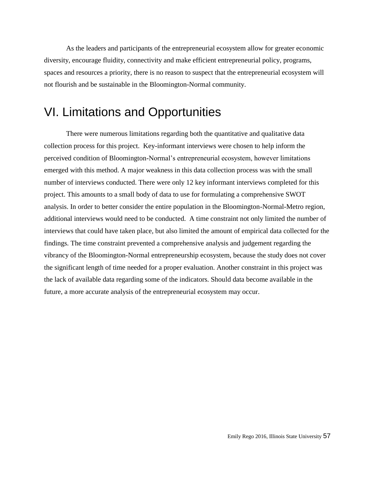As the leaders and participants of the entrepreneurial ecosystem allow for greater economic diversity, encourage fluidity, connectivity and make efficient entrepreneurial policy, programs, spaces and resources a priority, there is no reason to suspect that the entrepreneurial ecosystem will not flourish and be sustainable in the Bloomington-Normal community.

# VI. Limitations and Opportunities

There were numerous limitations regarding both the quantitative and qualitative data collection process for this project. Key-informant interviews were chosen to help inform the perceived condition of Bloomington-Normal's entrepreneurial ecosystem, however limitations emerged with this method. A major weakness in this data collection process was with the small number of interviews conducted. There were only 12 key informant interviews completed for this project. This amounts to a small body of data to use for formulating a comprehensive SWOT analysis. In order to better consider the entire population in the Bloomington-Normal-Metro region, additional interviews would need to be conducted. A time constraint not only limited the number of interviews that could have taken place, but also limited the amount of empirical data collected for the findings. The time constraint prevented a comprehensive analysis and judgement regarding the vibrancy of the Bloomington-Normal entrepreneurship ecosystem, because the study does not cover the significant length of time needed for a proper evaluation. Another constraint in this project was the lack of available data regarding some of the indicators. Should data become available in the future, a more accurate analysis of the entrepreneurial ecosystem may occur.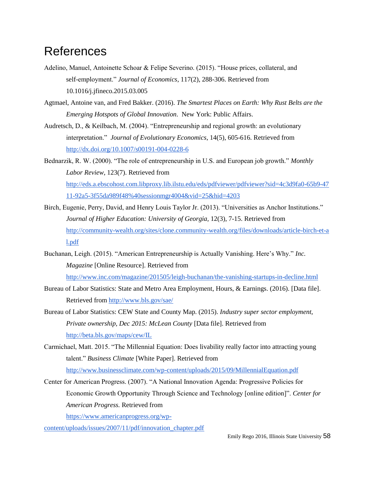# References

- Adelino, Manuel, Antoinette Schoar & Felipe Severino. (2015). "House prices, collateral, and self-employment." *Journal of Economics*, 117(2), 288-306. Retrieved from 10.1016/j.jfineco.2015.03.005
- Agtmael, Antoine van, and Fred Bakker. (2016). *The Smartest Places on Earth: Why Rust Belts are the Emerging Hotspots of Global Innovation*. New York: Public Affairs.
- Audretsch, D., & Keilbach, M. (2004). "Entrepreneurship and regional growth: an evolutionary interpretation." *Journal of Evolutionary Economics*, 14(5), 605-616. Retrieved from <http://dx.doi.org/10.1007/s00191-004-0228-6>
- Bednarzik, R. W. (2000). "The role of entrepreneurship in U.S. and European job growth." *Monthly Labor Review*, 123(7). Retrieved from [http://eds.a.ebscohost.com.libproxy.lib.ilstu.edu/eds/pdfviewer/pdfviewer?sid=4c3d9fa0-65b9-47](http://eds.a.ebscohost.com.libproxy.lib.ilstu.edu/eds/pdfviewer/pdfviewer?sid=4c3d9fa0-65b9-4711-92a5-3f55da989f48%40sessionmgr4004&vid=25&hid=4203) [11-92a5-3f55da989f48%40sessionmgr4004&vid=25&hid=4203](http://eds.a.ebscohost.com.libproxy.lib.ilstu.edu/eds/pdfviewer/pdfviewer?sid=4c3d9fa0-65b9-4711-92a5-3f55da989f48%40sessionmgr4004&vid=25&hid=4203)
- Birch, Eugenie, Perry, David, and Henry Louis Taylor Jr. (2013). "Universities as Anchor Institutions." *Journal of Higher Education: University of Georgia,* 12(3), 7-15. Retrieved from [http://community-wealth.org/sites/clone.community-wealth.org/files/downloads/article-birch-et-a](http://community-wealth.org/sites/clone.community-wealth.org/files/downloads/article-birch-et-al.pdf) [l.pdf](http://community-wealth.org/sites/clone.community-wealth.org/files/downloads/article-birch-et-al.pdf)
- Buchanan, Leigh. (2015). "American Entrepreneurship is Actually Vanishing. Here's Why." *Inc. Magazine* [Online Resource]. Retrieved from

<http://www.inc.com/magazine/201505/leigh-buchanan/the-vanishing-startups-in-decline.html>

- Bureau of Labor Statistics: State and Metro Area Employment, Hours, & Earnings. (2016). [Data file]. Retrieved fro[m http://www.bls.gov/sae/](http://www.bls.gov/sae/)
- Bureau of Labor Statistics: CEW State and County Map. (2015). *Industry super sector employment, Private ownership, Dec 2015: McLean County* [Data file]. Retrieved fro[m](http://beta.bls.gov/maps/cew/IL) <http://beta.bls.gov/maps/cew/IL>
- Carmichael, Matt. 2015. "The Millennial Equation: Does livability really factor into attracting young talent." *Business Climate* [White Paper]. Retrieved from <http://www.businessclimate.com/wp-content/uploads/2015/09/MillennialEquation.pdf>
- Center for American Progress. (2007). "A National Innovation Agenda: Progressive Policies for Economic Growth Opportunity Through Science and Technology [online edition]". *Center for American Progress.* Retrieved from

[https://www.americanprogress.org/wp-](https://www.americanprogress.org/wp-content/uploads/issues/2007/11/pdf/innovation_chapter.pdf)

[content/uploads/issues/2007/11/pdf/innovation\\_chapter.pdf](https://www.americanprogress.org/wp-content/uploads/issues/2007/11/pdf/innovation_chapter.pdf)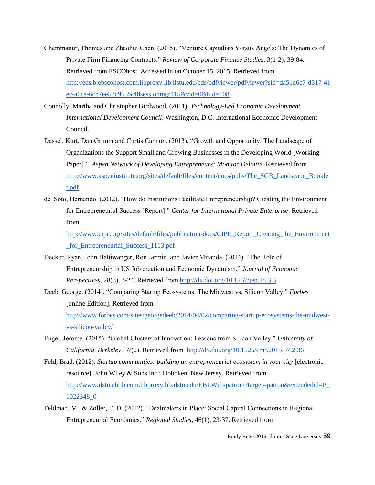- Chemmanur, Thomas and Zhaohui Chen. (2015). "Venture Capitalists Versus Angels: The Dynamics of Private Firm Financing Contracts." *Review of Corporate Finance Studies,* 3(1-2), 39-84. Retrieved from ESCOhost. Accessed in on October 15, 2015. Retrieved from [http://eds.b.ebscohost.com.libproxy.lib.ilstu.edu/eds/pdfviewer/pdfviewer?sid=da51d6c7-d317-41](http://eds.b.ebscohost.com.libproxy.lib.ilstu.edu/eds/pdfviewer/pdfviewer?sid=da51d6c7-d317-41ec-a6ca-6cb7ee58c965%40sessionmgr115&vid=0&hid=108) [ec-a6ca-6cb7ee58c965%40sessionmgr115&vid=0&hid=108](http://eds.b.ebscohost.com.libproxy.lib.ilstu.edu/eds/pdfviewer/pdfviewer?sid=da51d6c7-d317-41ec-a6ca-6cb7ee58c965%40sessionmgr115&vid=0&hid=108)
- Connolly, Martha and Christopher Girdwood. (2011). *Technology-Led Economic Development. International Development Council*. Washington, D.C: International Economic Development Council.
- Dassel, Kurt, Dan Grimm and Curtis Cannon. (2013). "Growth and Opportunity: The Landscape of Organizations the Support Small and Growing Businesses in the Developing World [Working Paper]." *Aspen Network of Developing Entrepreneurs: Monitor Deloitte*. Retrieved from [http://www.aspeninstitute.org/sites/default/files/content/docs/pubs/The\\_SGB\\_Landscape\\_Bookle](http://www.aspeninstitute.org/sites/default/files/content/docs/pubs/The_SGB_Landscape_Booklet.pdf) [t.pdf](http://www.aspeninstitute.org/sites/default/files/content/docs/pubs/The_SGB_Landscape_Booklet.pdf)
- de Soto, Hernando. (2012). "How do Institutions Facilitate Entrepreneurship? Creating the Environment for Entrepreneurial Success [Report]." *Center for International Private Enterprise*. Retrieved from

[http://www.cipe.org/sites/default/files/publication-docs/CIPE\\_Report\\_Creating\\_the\\_Environment](http://www.cipe.org/sites/default/files/publication-docs/CIPE_Report_Creating_the_Environment_for_Entrepreneurial_Success_1113.pdf) [\\_for\\_Entrepreneurial\\_Success\\_1113.pdf](http://www.cipe.org/sites/default/files/publication-docs/CIPE_Report_Creating_the_Environment_for_Entrepreneurial_Success_1113.pdf)

- Decker, Ryan, John Haltiwanger, Ron Jarmin, and Javier Miranda. (2014). "The Role of Entrepreneurship in US Job creation and Economic Dynamism." *Journal of Economic Perspectives,* 28(3), 3-24. Retrieved fro[m http://dx.doi.org/10.1257/jep.28.3.3](http://dx.doi.org/10.1257/jep.28.3.3)
- Deeb, George. (2014). "Comparing Startup Ecosystems: The Midwest vs. Silicon Valley," *Forbes*  [online Edition]. Retrieved from [http://www.forbes.com/sites/georgedeeb/2014/04/02/comparing-startup-ecosystems-the-midwest](http://www.forbes.com/sites/georgedeeb/2014/04/02/comparing-startup-ecosystems-the-midwest-vs-silicon-valley/)[vs-silicon-valley/](http://www.forbes.com/sites/georgedeeb/2014/04/02/comparing-startup-ecosystems-the-midwest-vs-silicon-valley/)
- Engel, Jerome. (2015). "Global Clusters of Innovation: Lessons from Silicon Valley." *University of California, Berkeley,* 57(2). Retrieved from <http://dx.doi.org/10.1525/cmr.2015.57.2.36>
- Feld, Brad. (2012). *Startup communities: building an entrepreneurial ecosystem in your city* [electronic resource]. John Wiley & Sons Inc.: Hoboken, New Jersey. Retrieved from [http://www.ilstu.eblib.com.libproxy.lib.ilstu.edu/EBLWeb/patron/?target=patron&extendedid=P\\_](http://www.ilstu.eblib.com.libproxy.lib.ilstu.edu/EBLWeb/patron/?target=patron&extendedid=P_1022348_0) [1022348\\_0](http://www.ilstu.eblib.com.libproxy.lib.ilstu.edu/EBLWeb/patron/?target=patron&extendedid=P_1022348_0)
- Feldman, M., & Zoller, T. D. (2012). "Dealmakers in Place: Social Capital Connections in Regional Entrepreneurial Economies." *Regional Studies*, 46(1), 23-37. Retrieved from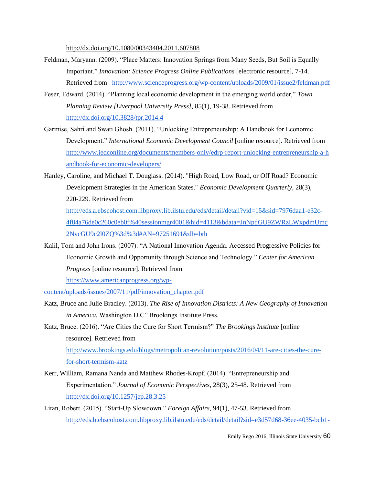[http://dx.doi.org/1](http://dx.doi.org/10.3828/tpr.2014.4)0.1080/00343404.2011.607808

- Feldman, Maryann. (2009). "Place Matters: Innovation Springs from Many Seeds, But Soil is Equally Important." *Innovation: Science Progress Online Publications* [electronic resource], 7-14. Retrieved from <http://www.scienceprogress.org/wp-content/uploads/2009/01/issue2/feldman.pdf>
- Feser, Edward. (2014). "Planning local economic development in the emerging world order," *Town Planning Review [Liverpool University Press]*, 85(1), 19-38. Retrieved from <http://dx.doi.org/10.3828/tpr.2014.4>
- Garmise, Sahri and Swati Ghosh. (2011). "Unlocking Entrepreneurship: A Handbook for Economic Development." *International Economic Development Council* [online resource]*.* Retrieved from [http://www.iedconline.org/documents/members-only/edrp-report-unlocking-entrepreneurship-a-h](http://www.iedconline.org/documents/members-only/edrp-report-unlocking-entrepreneurship-a-handbook-for-economic-developers/) [andbook-for-economic-developers/](http://www.iedconline.org/documents/members-only/edrp-report-unlocking-entrepreneurship-a-handbook-for-economic-developers/)
- Hanley, Caroline, and Michael T. Douglass. (2014). "High Road, Low Road, or Off Road? Economic Development Strategies in the American States." *Economic Development Quarterly,* 28(3), 220-229. Retrieved from

[http://eds.a.ebscohost.com.libproxy.lib.ilstu.edu/eds/detail/detail?vid=15&sid=7976daa1-e32c-](http://eds.a.ebscohost.com.libproxy.lib.ilstu.edu/eds/detail/detail?vid=15&sid=7976daa1-e32c-4f8)[4f8](http://eds.a.ebscohost.com.libproxy.lib.ilstu.edu/eds/detail/detail?vid=15&sid=7976daa1-e32c-4f8)[4a76de0c260c0eb0f%40sessionmgr4001&hid=4113&bdata=JnNpdGU9ZWRzLWxpdmUmc](http://eds.a.ebscohost.com.libproxy.lib.ilstu.edu/eds/detail/detail?vid=15&sid=7976daa1-e32c-4f84-a76de0c260c0eb0f%40sessionmgr4001&hid=4113&bdata=JnNpdGU9ZWRzLWxpdmUmc2NvcGU9c2l0ZQ%3d%3d#AN=97251691&db=bth) [2NvcGU9c2l0ZQ%3d%3d#AN=97251691&db=bth](http://eds.a.ebscohost.com.libproxy.lib.ilstu.edu/eds/detail/detail?vid=15&sid=7976daa1-e32c-4f84-a76de0c260c0eb0f%40sessionmgr4001&hid=4113&bdata=JnNpdGU9ZWRzLWxpdmUmc2NvcGU9c2l0ZQ%3d%3d#AN=97251691&db=bth)

Kalil, Tom and John Irons. (2007). "A National Innovation Agenda. Accessed Progressive Policies for Economic Growth and Opportunity through Science and Technology." *Center for American Progress* [online resource]. Retrieved from

[https://www.americanprogress.org/wp-](https://www.americanprogress.org/wp-content/uploads/issues/2007/11/pdf/innovation_chapter.pdf)

[content/uploads/issues/2007/11/pdf/innovation\\_chapter.pdf](https://www.americanprogress.org/wp-content/uploads/issues/2007/11/pdf/innovation_chapter.pdf)

- Katz, Bruce and Julie Bradley. (2013). *The Rise of Innovation Districts: A New Geography of Innovation in America.* Washington D.C" Brookings Institute Press.
- Katz, Bruce. (2016). "Are Cities the Cure for Short Termism?" *The Brookings Institute* [online resource]. Retrieved from [http://www.brookings.edu/blogs/metropolitan-revolution/posts/2016/04/11-are-cities-the-cure](http://www.brookings.edu/blogs/metropolitan-revolution/posts/2016/04/11-are-cities-the-cure-for-)[for-](http://www.brookings.edu/blogs/metropolitan-revolution/posts/2016/04/11-are-cities-the-cure-for-)[short-termism-katz](http://www.brookings.edu/blogs/metropolitan-revolution/posts/2016/04/11-are-cities-the-cure-for-short-termism-katz)
- Kerr, William, Ramana Nanda and Matthew Rhodes-Kropf. (2014). "Entrepreneurship and Experimentation." *Journal of Economic Perspectives*, 28(3), 25-48. Retrieved from <http://dx.doi.org/10.1257/jep.28.3.25>
- Litan, Robert. (2015). "Start-Up Slowdown." *Foreign Affairs*, 94(1), 47-53. Retrieved from [http://eds.b.ebscohost.com.libproxy.lib.ilstu.edu/eds/detail/detail?sid=e3d57d68-36ee-4035-bcb1-](http://eds.b.ebscohost.com.libproxy.lib.ilstu.edu/eds/detail/detail?sid=e3d57d68-36ee-4035-bcb1-672009cef980%40sessionmgr120&vid=13&hid=108&bdata=JnNpdGU9ZWRzLWxpdmUmc2NvcGU9c2l0ZQ%3d%3d#AN=99960182&db=a9h)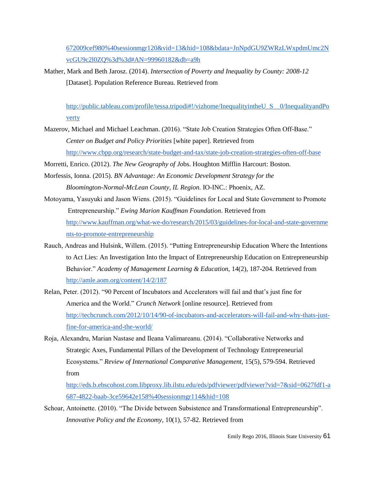[672009cef980%40sessionmgr120&vid=13&hid=108&bdata=JnNpdGU9ZWRzLWxpdmUmc2N](http://eds.b.ebscohost.com.libproxy.lib.ilstu.edu/eds/detail/detail?sid=e3d57d68-36ee-4035-bcb1-672009cef980%40sessionmgr120&vid=13&hid=108&bdata=JnNpdGU9ZWRzLWxpdmUmc2NvcGU9c2l0ZQ%3d%3d#AN=99960182&db=a9h) [vcGU9c2l0ZQ%3d%3d#AN=99960182&db=a9h](http://eds.b.ebscohost.com.libproxy.lib.ilstu.edu/eds/detail/detail?sid=e3d57d68-36ee-4035-bcb1-672009cef980%40sessionmgr120&vid=13&hid=108&bdata=JnNpdGU9ZWRzLWxpdmUmc2NvcGU9c2l0ZQ%3d%3d#AN=99960182&db=a9h)

Mather, Mark and Beth Jarosz. (2014). *Intersection of Poverty and Inequality by County: 2008-12* [Dataset]. Population Reference Bureau. Retrieved from

[http://public.tableau.com/profile/tessa.tripodi#!/vizhome/InequalityintheU\\_S\\_\\_0/InequalityandPo](http://public.tableau.com/profile/tessa.tripodi#!/vizhome/InequalityintheU_S__0/InequalityandPov) [v](http://public.tableau.com/profile/tessa.tripodi#!/vizhome/InequalityintheU_S__0/InequalityandPov)[erty](http://public.tableau.com/profile/tessa.tripodi#!/vizhome/InequalityintheU_S__0/InequalityandPoverty)

- Mazerov, Michael and Michael Leachman. (2016). "State Job Creation Strategies Often Off-Base." *Center on Budget and Policy Priorities* [white paper]. Retrieved from <http://www.cbpp.org/research/state-budget-and-tax/state-job-creation-strategies-often-off-base>
- Morretti, Enrico. (2012). *The New Geography of Jo*bs. Houghton Mifflin Harcourt: Boston.
- Morfessis, Ionna. (2015). *BN Advantage: An Economic Development Strategy for the Bloomington-Normal-McLean County, IL Region.* IO-INC.: Phoenix, AZ.
- Motoyama, Yasuyuki and Jason Wiens. (2015). "Guidelines for Local and State Government to Promote Entrepreneurship." *Ewing Marion Kauffman Foundation*. Retrieved from [http://www.kauffman.org/what-we-do/research/2015/03/guidelines-for-local-and-state-governme](http://www.kauffman.org/what-we-do/research/2015/03/guidelines-for-local-and-state-governments-to-promote-entrepreneurship) [nts-to-promote-entrepreneurship](http://www.kauffman.org/what-we-do/research/2015/03/guidelines-for-local-and-state-governments-to-promote-entrepreneurship)
- Rauch, Andreas and Hulsink, Willem. (2015). "Putting Entrepreneurship Education Where the Intentions to Act Lies: An Investigation Into the Impact of Entrepreneurship Education on Entrepreneurship Behavior." *Academy of Management Learning & Education*, 14(2), 187-204. Retrieved from <http://amle.aom.org/content/14/2/187>
- Relan, Peter. (2012). "90 Percent of Incubators and Accelerators will fail and that's just fine for America and the World." *Crunch Network* [online resource]. Retrieved from [http://techcrunch.com/2012/10/14/90-of-incubators-and-accelerators-will-fail-and-why-thats-just](http://techcrunch.com/2012/10/14/90-of-incubators-and-accelerators-will-fail-and-why-thats-just-fine-for-america-and-the-world/)[fine-for-america-and-the-world/](http://techcrunch.com/2012/10/14/90-of-incubators-and-accelerators-will-fail-and-why-thats-just-fine-for-america-and-the-world/)
- Roja, Alexandru, Marian Nastase and Ileana Valimareanu. (2014). "Collaborative Networks and Strategic Axes, Fundamental Pillars of the Development of Technology Entrepreneurial Ecosystems." *Review of International Comparative Management,* 15(5), 579-594. Retrieved from

[http://eds.b.ebscohost.com.libproxy.lib.ilstu.edu/eds/pdfviewer/pdfviewer?vid=7&sid=0627fdf1-a](http://eds.b.ebscohost.com.libproxy.lib.ilstu.edu/eds/pdfviewer/pdfviewer?vid=7&sid=0627fdf1-a687-4822-baab-3ce59642e158%40sessionmgr114&hid=108) [687-4822-baab-3ce59642e158%40sessionmgr114&hid=108](http://eds.b.ebscohost.com.libproxy.lib.ilstu.edu/eds/pdfviewer/pdfviewer?vid=7&sid=0627fdf1-a687-4822-baab-3ce59642e158%40sessionmgr114&hid=108)

Schoar, Antoinette. (2010). "The Divide between Subsistence and Transformational Entrepreneurship". *Innovative Policy and the Economy,* 10(1), 57-82. Retrieved from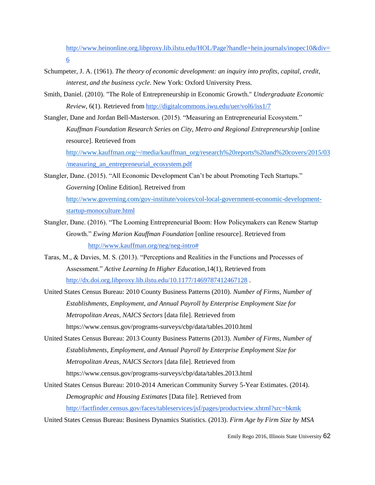[http://www.heinonline.org.libproxy.lib.ilstu.edu/HOL/Page?handle=hein.journals/inopec10&div=](http://www.heinonline.org.libproxy.lib.ilstu.edu/HOL/Page?handle=hein.journals/inopec10&div=6) [6](http://www.heinonline.org.libproxy.lib.ilstu.edu/HOL/Page?handle=hein.journals/inopec10&div=6)

- Schumpeter, J. A. (1961). *The theory of economic development: an inquiry into profits, capital, credit, interest, and the business cycle*. New York: Oxford University Press.
- Smith, Daniel. (2010). "The Role of Entrepreneurship in Economic Growth." *Undergraduate Economic Review*, 6(1). Retrieved from<http://digitalcommons.iwu.edu/uer/vol6/iss1/7>
- Stangler, Dane and Jordan Bell-Masterson. (2015). "Measuring an Entrepreneurial Ecosystem." *Kauffman Foundation Research Series on City, Metro and Regional Entrepreneurship* [online resource]. Retrieved from [http://www.kauffman.org/~/media/kauffman\\_org/research%20reports%20and%20covers/2015/03](http://www.kauffman.org/~/media/kauffman_org/research%20reports%20and%20covers/2015/03/)

[/](http://www.kauffman.org/~/media/kauffman_org/research%20reports%20and%20covers/2015/03/)[measuring\\_an\\_entrepreneurial\\_ecosystem.pdf](http://www.kauffman.org/~/media/kauffman_org/research%20reports%20and%20covers/2015/03/measuring_an_entrepreneurial_ecosystem.pdf)

- Stangler, Dane. (2015). "All Economic Development Can't be about Promoting Tech Startups." *Governing* [Online Edition]. Retreived from [http://www.governing.com/gov-institute/voices/col-local-government-economic-development](http://www.governing.com/gov-institute/voices/col-local-government-economic-development-star)[star](http://www.governing.com/gov-institute/voices/col-local-government-economic-development-star)[tup-monoculture.html](http://www.governing.com/gov-institute/voices/col-local-government-economic-development-startup-monoculture.html)
- Stangler, Dane. (2016). "The Looming Entrepreneurial Boom: How Policymakers can Renew Startup Growth." *Ewing Marion Kauffman Foundation* [online resource]. Retrieved from [http://www.kauffman.org/neg/neg-intro#](http://www.kauffman.org/neg/neg-intro)
- Taras, M., & Davies, M. S. (2013). "Perceptions and Realities in the Functions and Processes of Assessment." *Active Learning In Higher Education,*14(1), Retrieved from <http://dx.doi.org.libproxy.lib.ilstu.edu/10.1177/1469787412467128> .
- United States Census Bureau: 2010 County Business Patterns (2010). *Number of Firms, Number of Establishments, Employment, and Annual Payroll by Enterprise Employment Size for Metropolitan Areas, NAICS Sectors* [data file]. Retrieved from https://www.census.gov/programs-surveys/cbp/data/tables.2010.html
- United States Census Bureau: 2013 County Business Patterns (2013). *Number of Firms, Number of Establishments, Employment, and Annual Payroll by Enterprise Employment Size for Metropolitan Areas, NAICS Sectors* [data file]. Retrieved from https://www.census.gov/programs-surveys/cbp/data/tables.2013.html
- United States Census Bureau: 2010-2014 American Community Survey 5-Year Estimates. (2014). *Demographic and Housing Estimates* [Data file]. Retrieved from <http://factfinder.census.gov/faces/tableservices/jsf/pages/productview.xhtml?src=bkmk>

United States Census Bureau: Business Dynamics Statistics. (2013). *Firm Age by Firm Size by MSA*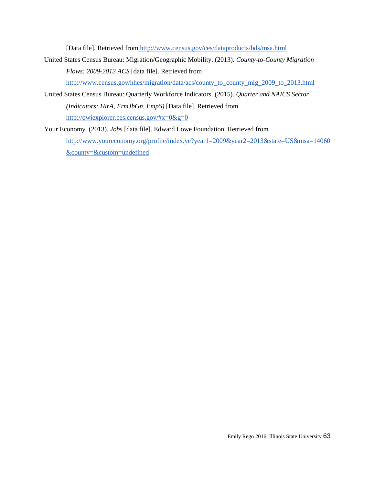[Data file]. Retrieved from <http://www.census.gov/ces/dataproducts/bds/msa.html>

United States Census Bureau: Migration/Geographic Mobility. (2013). *County-to-County Migration Flows: 2009-2013 ACS* [data file]. Retrieved fro[m](http://www.census.gov/hhes/migration/data/acs/county_to_county_mig_2009_to_2013.html) [http://www.census.gov/hhes/migration/data/acs/county\\_to\\_county\\_mig\\_2009\\_to\\_2013.html](http://www.census.gov/hhes/migration/data/acs/county_to_county_mig_2009_to_2013.html)

United States Census Bureau: Quarterly Workforce Indicators. (2015). *Quarter and NAICS Sector (Indicators: HirA, FrmJbGn, EmpS)* [Data file]. Retrieved fro[m](http://qwiexplorer.ces.census.gov/#x=0&g=0) <http://qwiexplorer.ces.census.gov/#x=0&g=0>

Your Economy. (2013). *Jobs* [data file]. Edward Lowe Foundation. Retrieved fro[m](http://www.youreconomy.org/profile/index.ye?year1=2009&year2=2013&state=US&msa=14060&county=&custom=undefined) [http://www.youreconomy.org/profile/index.ye?year1=2009&year2=2013&state=US&msa=14060](http://www.youreconomy.org/profile/index.ye?year1=2009&year2=2013&state=US&msa=14060&county=&custom=undefined) [&county=&custom=undefined](http://www.youreconomy.org/profile/index.ye?year1=2009&year2=2013&state=US&msa=14060&county=&custom=undefined)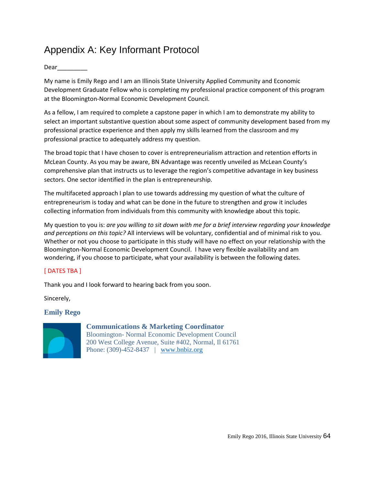# Appendix A: Key Informant Protocol

### Dear\_\_\_\_\_\_\_\_\_

My name is Emily Rego and I am an Illinois State University Applied Community and Economic Development Graduate Fellow who is completing my professional practice component of this program at the Bloomington-Normal Economic Development Council.

As a fellow, I am required to complete a capstone paper in which I am to demonstrate my ability to select an important substantive question about some aspect of community development based from my professional practice experience and then apply my skills learned from the classroom and my professional practice to adequately address my question.

The broad topic that I have chosen to cover is entrepreneurialism attraction and retention efforts in McLean County. As you may be aware, BN Advantage was recently unveiled as McLean County's comprehensive plan that instructs us to leverage the region's competitive advantage in key business sectors. One sector identified in the plan is entrepreneurship.

The multifaceted approach I plan to use towards addressing my question of what the culture of entrepreneurism is today and what can be done in the future to strengthen and grow it includes collecting information from individuals from this community with knowledge about this topic.

My question to you is: *are you willing to sit down with me for a brief interview regarding your knowledge and perceptions on this topic?* All interviews will be voluntary, confidential and of minimal risk to you. Whether or not you choose to participate in this study will have no effect on your relationship with the Bloomington-Normal Economic Development Council. I have very flexible availability and am wondering, if you choose to participate, what your availability is between the following dates.

## [ DATES TBA ]

Thank you and I look forward to hearing back from you soon.

Sincerely,

## **Emily Rego**



## **Communications & Marketing Coordinator**

Bloomington- Normal Economic Development Council 200 West College Avenue, Suite #402, Normal, Il 61761 Phone: (309)-452-8437 | [www.bnbiz.org](http://www.bnbiz.org/)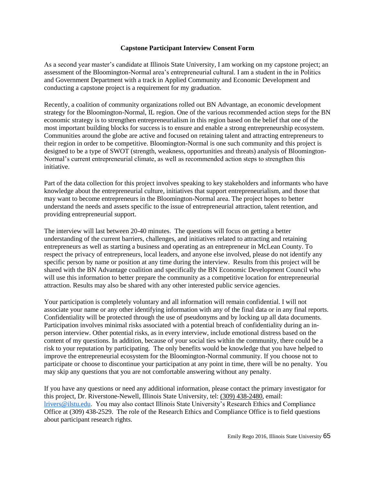#### **Capstone Participant Interview Consent Form**

As a second year master's candidate at Illinois State University, I am working on my capstone project; an assessment of the Bloomington-Normal area's entrepreneurial cultural. I am a student in the in Politics and Government Department with a track in Applied Community and Economic Development and conducting a capstone project is a requirement for my graduation.

Recently, a coalition of community organizations rolled out BN Advantage, an economic development strategy for the Bloomington-Normal, IL region. One of the various recommended action steps for the BN economic strategy is to strengthen entrepreneurialism in this region based on the belief that one of the most important building blocks for success is to ensure and enable a strong entrepreneurship ecosystem. Communities around the globe are active and focused on retaining talent and attracting entrepreneurs to their region in order to be competitive. Bloomington-Normal is one such community and this project is designed to be a type of SWOT (strength, weakness, opportunities and threats) analysis of Bloomington-Normal's current entrepreneurial climate, as well as recommended action steps to strengthen this initiative.

Part of the data collection for this project involves speaking to key stakeholders and informants who have knowledge about the entrepreneurial culture, initiatives that support entrepreneurialism, and those that may want to become entrepreneurs in the Bloomington-Normal area. The project hopes to better understand the needs and assets specific to the issue of entrepreneurial attraction, talent retention, and providing entrepreneurial support.

The interview will last between 20-40 minutes. The questions will focus on getting a better understanding of the current barriers, challenges, and initiatives related to attracting and retaining entrepreneurs as well as starting a business and operating as an entrepreneur in McLean County. To respect the privacy of entrepreneurs, local leaders, and anyone else involved, please do not identify any specific person by name or position at any time during the interview. Results from this project will be shared with the BN Advantage coalition and specifically the BN Economic Development Council who will use this information to better prepare the community as a competitive location for entrepreneurial attraction. Results may also be shared with any other interested public service agencies.

Your participation is completely voluntary and all information will remain confidential. I will not associate your name or any other identifying information with any of the final data or in any final reports. Confidentiality will be protected through the use of pseudonyms and by locking up all data documents. Participation involves minimal risks associated with a potential breach of confidentiality during an inperson interview. Other potential risks, as in every interview, include emotional distress based on the content of my questions. In addition, because of your social ties within the community, there could be a risk to your reputation by participating. The only benefits would be knowledge that you have helped to improve the entrepreneurial ecosystem for the Bloomington-Normal community. If you choose not to participate or choose to discontinue your participation at any point in time, there will be no penalty. You may skip any questions that you are not comfortable answering without any penalty.

If you have any questions or need any additional information, please contact the primary investigator for this project, Dr. Riverstone-Newell, Illinois State University, tel: (309) 438-2480, email: [lrivers@ilstu.edu.](mailto:lrivers@ilstu.edu) You may also contact Illinois State University's Research Ethics and Compliance Office at (309) 438-2529. The role of the Research Ethics and Compliance Office is to field questions about participant research rights.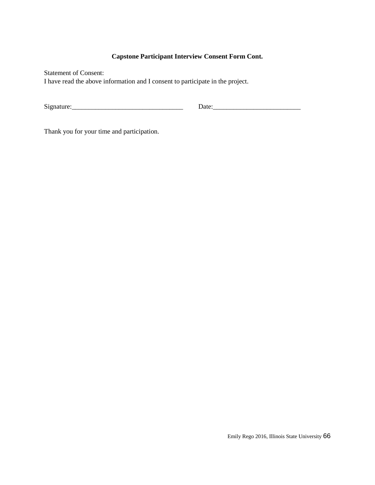## **Capstone Participant Interview Consent Form Cont.**

Statement of Consent: I have read the above information and I consent to participate in the project.

Signature:\_\_\_\_\_\_\_\_\_\_\_\_\_\_\_\_\_\_\_\_\_\_\_\_\_\_\_\_\_\_\_\_\_ Date:\_\_\_\_\_\_\_\_\_\_\_\_\_\_\_\_\_\_\_\_\_\_\_\_\_\_

Thank you for your time and participation.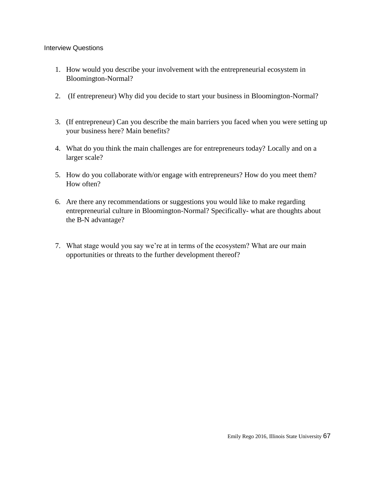### Interview Questions

- 1. How would you describe your involvement with the entrepreneurial ecosystem in Bloomington-Normal?
- 2. (If entrepreneur) Why did you decide to start your business in Bloomington-Normal?
- 3. (If entrepreneur) Can you describe the main barriers you faced when you were setting up your business here? Main benefits?
- 4. What do you think the main challenges are for entrepreneurs today? Locally and on a larger scale?
- 5. How do you collaborate with/or engage with entrepreneurs? How do you meet them? How often?
- 6. Are there any recommendations or suggestions you would like to make regarding entrepreneurial culture in Bloomington-Normal? Specifically- what are thoughts about the B-N advantage?
- 7. What stage would you say we're at in terms of the ecosystem? What are our main opportunities or threats to the further development thereof?